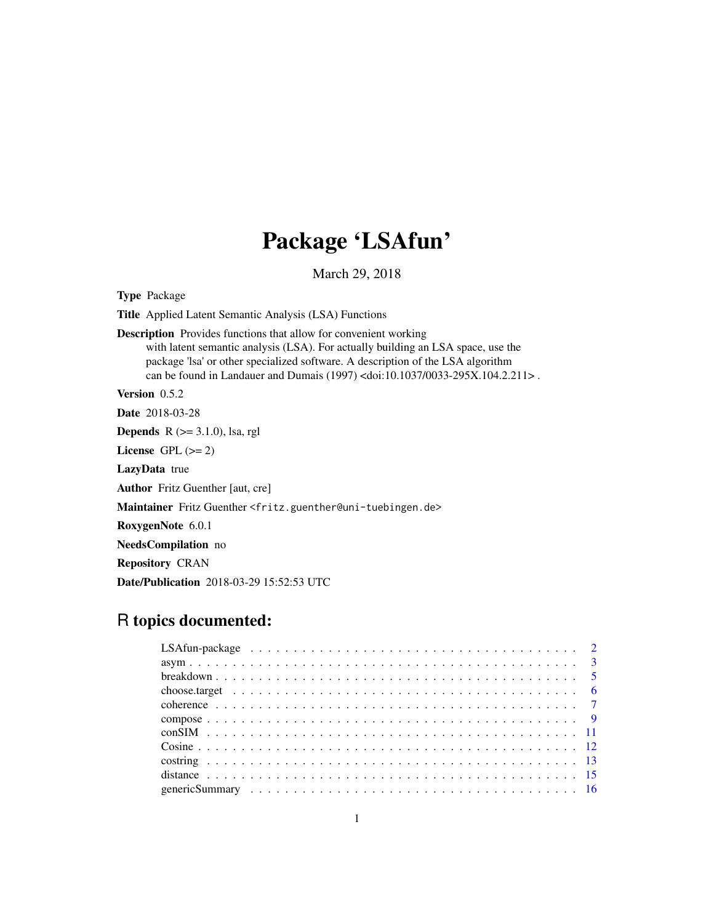# Package 'LSAfun'

March 29, 2018

<span id="page-0-0"></span>

| <b>Type Package</b>                                                                                                                                                                                                                                                                                                                              |
|--------------------------------------------------------------------------------------------------------------------------------------------------------------------------------------------------------------------------------------------------------------------------------------------------------------------------------------------------|
| <b>Title</b> Applied Latent Semantic Analysis (LSA) Functions                                                                                                                                                                                                                                                                                    |
| <b>Description</b> Provides functions that allow for convenient working<br>with latent semantic analysis (LSA). For actually building an LSA space, use the<br>package 'lsa' or other specialized software. A description of the LSA algorithm<br>can be found in Landauer and Dumais (1997) <doi:10.1037 0033-295x.104.2.211="">.</doi:10.1037> |
| <b>Version</b> $0.5.2$                                                                                                                                                                                                                                                                                                                           |
| <b>Date</b> 2018-03-28                                                                                                                                                                                                                                                                                                                           |
| <b>Depends</b> $R$ ( $>= 3.1.0$ ), lsa, rgl                                                                                                                                                                                                                                                                                                      |
| License $GPL (= 2)$                                                                                                                                                                                                                                                                                                                              |
| <b>LazyData</b> true                                                                                                                                                                                                                                                                                                                             |
| <b>Author</b> Fritz Guenther [aut, cre]                                                                                                                                                                                                                                                                                                          |
| Maintainer Fritz Guenther <fritz.guenther@uni-tuebingen.de></fritz.guenther@uni-tuebingen.de>                                                                                                                                                                                                                                                    |
| RoxygenNote 6.0.1                                                                                                                                                                                                                                                                                                                                |
| NeedsCompilation no                                                                                                                                                                                                                                                                                                                              |
| <b>Repository CRAN</b>                                                                                                                                                                                                                                                                                                                           |
| <b>Date/Publication</b> 2018-03-29 15:52:53 UTC                                                                                                                                                                                                                                                                                                  |

## R topics documented: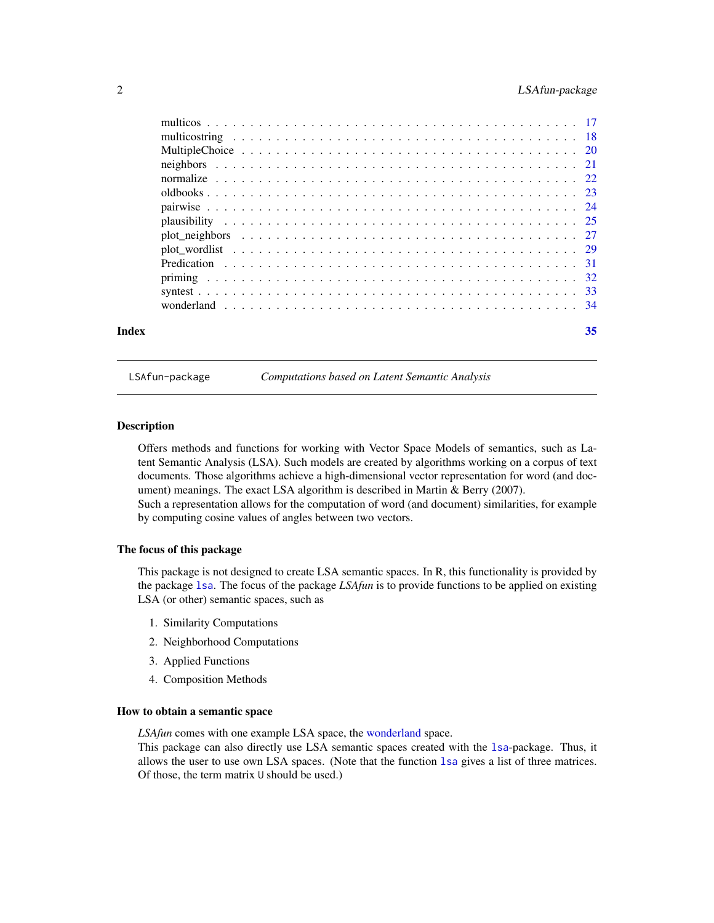<span id="page-1-0"></span>

| Index | 35 |
|-------|----|
|       |    |
|       |    |
|       |    |
|       |    |
|       |    |
|       |    |
|       |    |
|       |    |
|       |    |
|       |    |
|       |    |
|       |    |
|       |    |
|       |    |

LSAfun-package *Computations based on Latent Semantic Analysis*

#### **Description**

Offers methods and functions for working with Vector Space Models of semantics, such as Latent Semantic Analysis (LSA). Such models are created by algorithms working on a corpus of text documents. Those algorithms achieve a high-dimensional vector representation for word (and document) meanings. The exact LSA algorithm is described in Martin & Berry (2007).

Such a representation allows for the computation of word (and document) similarities, for example by computing cosine values of angles between two vectors.

#### The focus of this package

This package is not designed to create LSA semantic spaces. In R, this functionality is provided by the package [lsa](#page-0-0). The focus of the package *LSAfun* is to provide functions to be applied on existing LSA (or other) semantic spaces, such as

- 1. Similarity Computations
- 2. Neighborhood Computations
- 3. Applied Functions
- 4. Composition Methods

#### How to obtain a semantic space

*LSAfun* comes with one example LSA space, the [wonderland](#page-33-1) space.

This package can also directly use LSA semantic spaces created with the [lsa](#page-0-0)-package. Thus, it allows the user to use own LSA spaces. (Note that the function [lsa](#page-0-0) gives a list of three matrices. Of those, the term matrix U should be used.)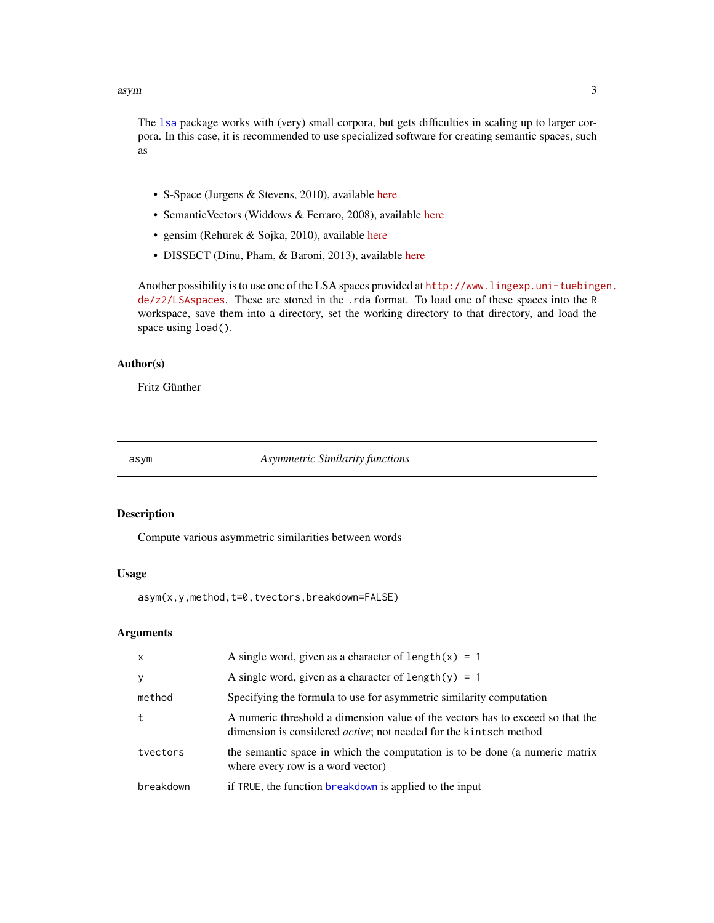<span id="page-2-0"></span>The [lsa](#page-0-0) package works with (very) small corpora, but gets difficulties in scaling up to larger corpora. In this case, it is recommended to use specialized software for creating semantic spaces, such as

- S-Space (Jurgens & Stevens, 2010), available [here](https://github.com/fozziethebeat/S-Space)
- SemanticVectors (Widdows & Ferraro, 2008), available [here](https://code.google.com/p/semanticvectors/)
- gensim (Rehurek & Sojka, 2010), available [here](https://radimrehurek.com/gensim/)
- DISSECT (Dinu, Pham, & Baroni, 2013), available [here](http://clic.cimec.unitn.it/composes/toolkit/)

Another possibility is to use one of the LSA spaces provided at [http://www.lingexp.uni-tuebing](http://www.lingexp.uni-tuebingen.de/z2/LSAspaces)en. [de/z2/LSAspaces](http://www.lingexp.uni-tuebingen.de/z2/LSAspaces). These are stored in the .rda format. To load one of these spaces into the R workspace, save them into a directory, set the working directory to that directory, and load the space using load().

#### Author(s)

Fritz Günther

<span id="page-2-1"></span>asym *Asymmetric Similarity functions*

#### Description

Compute various asymmetric similarities between words

#### Usage

asym(x,y,method,t=0,tvectors,breakdown=FALSE)

| $\mathsf{x}$ | A single word, given as a character of $length(x) = 1$                                                                                                      |
|--------------|-------------------------------------------------------------------------------------------------------------------------------------------------------------|
| y            | A single word, given as a character of length(y) = 1                                                                                                        |
| method       | Specifying the formula to use for asymmetric similarity computation                                                                                         |
| t            | A numeric threshold a dimension value of the vectors has to exceed so that the<br>dimension is considered <i>active</i> ; not needed for the kintsch method |
| tvectors     | the semantic space in which the computation is to be done (a numeric matrix<br>where every row is a word vector)                                            |
| breakdown    | if TRUE, the function breakdown is applied to the input                                                                                                     |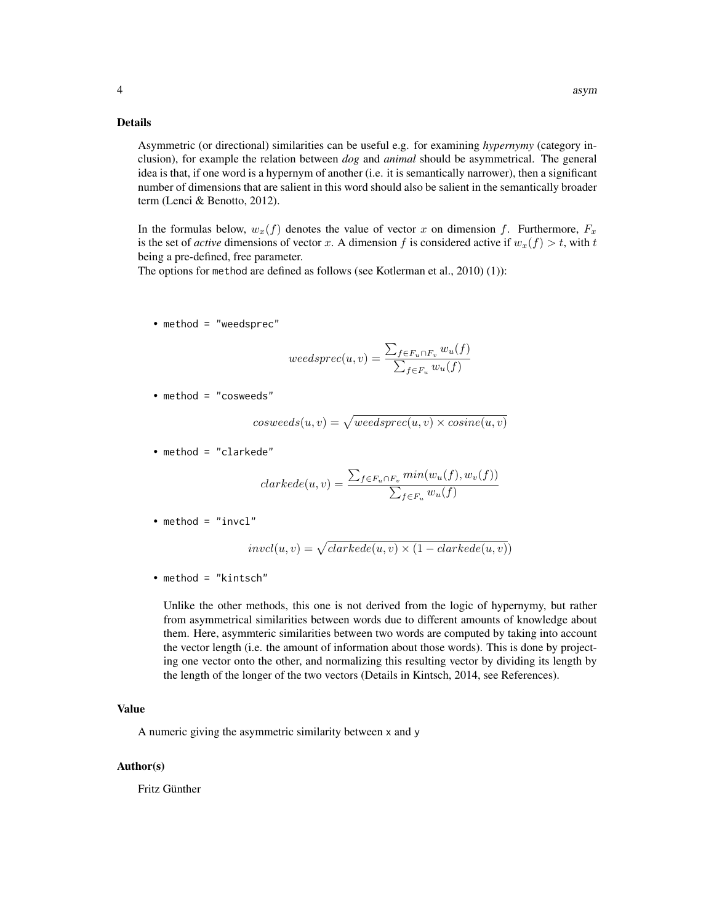#### Details

Asymmetric (or directional) similarities can be useful e.g. for examining *hypernymy* (category inclusion), for example the relation between *dog* and *animal* should be asymmetrical. The general idea is that, if one word is a hypernym of another (i.e. it is semantically narrower), then a significant number of dimensions that are salient in this word should also be salient in the semantically broader term (Lenci & Benotto, 2012).

In the formulas below,  $w_x(f)$  denotes the value of vector x on dimension f. Furthermore,  $F_x$ is the set of *active* dimensions of vector x. A dimension f is considered active if  $w_x(f) > t$ , with t being a pre-defined, free parameter.

The options for method are defined as follows (see Kotlerman et al., 2010) (1)):

• method = "weedsprec"

$$
weedspec(u,v) = \frac{\sum_{f \in F_u \cap F_v} w_u(f)}{\sum_{f \in F_u} w_u(f)}
$$

• method = "cosweeds"

$$
cosweeds(u, v) = \sqrt{weedsprec(u, v) \times cosine(u, v)}
$$

• method = "clarkede"

$$
clarkede(u, v) = \frac{\sum_{f \in F_u \cap F_v} min(w_u(f), w_v(f))}{\sum_{f \in F_u} w_u(f)}
$$

• method =  $"invc1"$ 

$$
invcl(u, v) = \sqrt{clarkede(u, v) \times (1 - clarkede(u, v))}
$$

• method = "kintsch"

Unlike the other methods, this one is not derived from the logic of hypernymy, but rather from asymmetrical similarities between words due to different amounts of knowledge about them. Here, asymmteric similarities between two words are computed by taking into account the vector length (i.e. the amount of information about those words). This is done by projecting one vector onto the other, and normalizing this resulting vector by dividing its length by the length of the longer of the two vectors (Details in Kintsch, 2014, see References).

#### Value

A numeric giving the asymmetric similarity between x and y

#### Author(s)

Fritz Günther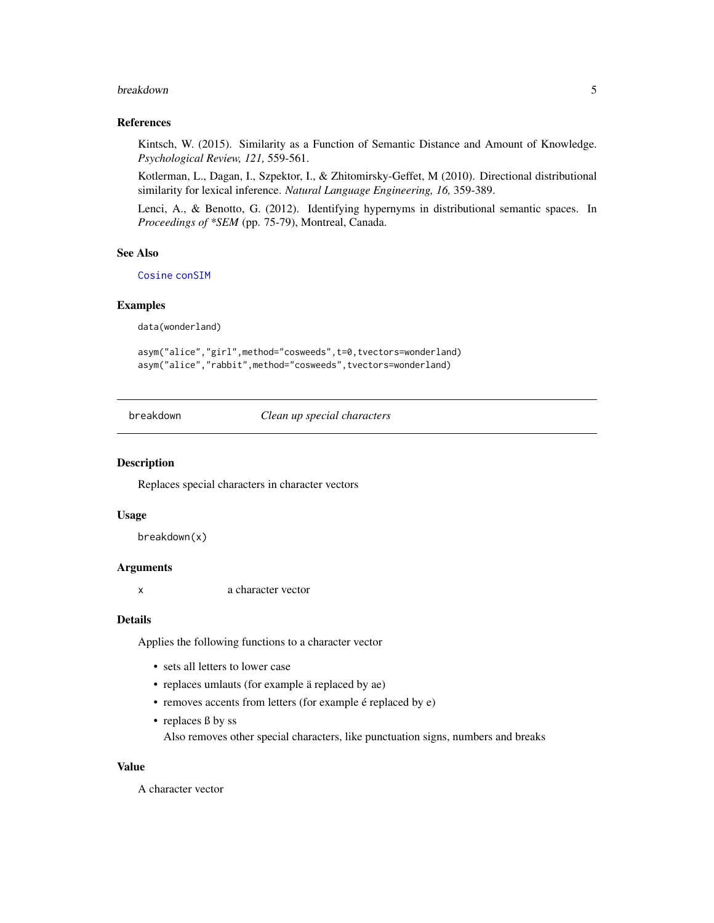#### <span id="page-4-0"></span>breakdown 5

#### References

Kintsch, W. (2015). Similarity as a Function of Semantic Distance and Amount of Knowledge. *Psychological Review, 121,* 559-561.

Kotlerman, L., Dagan, I., Szpektor, I., & Zhitomirsky-Geffet, M (2010). Directional distributional similarity for lexical inference. *Natural Language Engineering, 16,* 359-389.

Lenci, A., & Benotto, G. (2012). Identifying hypernyms in distributional semantic spaces. In *Proceedings of \*SEM* (pp. 75-79), Montreal, Canada.

#### See Also

[Cosine](#page-11-1) [conSIM](#page-10-1)

#### Examples

data(wonderland)

asym("alice","girl",method="cosweeds",t=0,tvectors=wonderland) asym("alice","rabbit",method="cosweeds",tvectors=wonderland)

<span id="page-4-1"></span>breakdown *Clean up special characters*

#### Description

Replaces special characters in character vectors

#### Usage

breakdown(x)

#### Arguments

x a character vector

#### Details

Applies the following functions to a character vector

- sets all letters to lower case
- replaces umlauts (for example ä replaced by ae)
- removes accents from letters (for example é replaced by e)
- replaces ß by ss

Also removes other special characters, like punctuation signs, numbers and breaks

#### Value

A character vector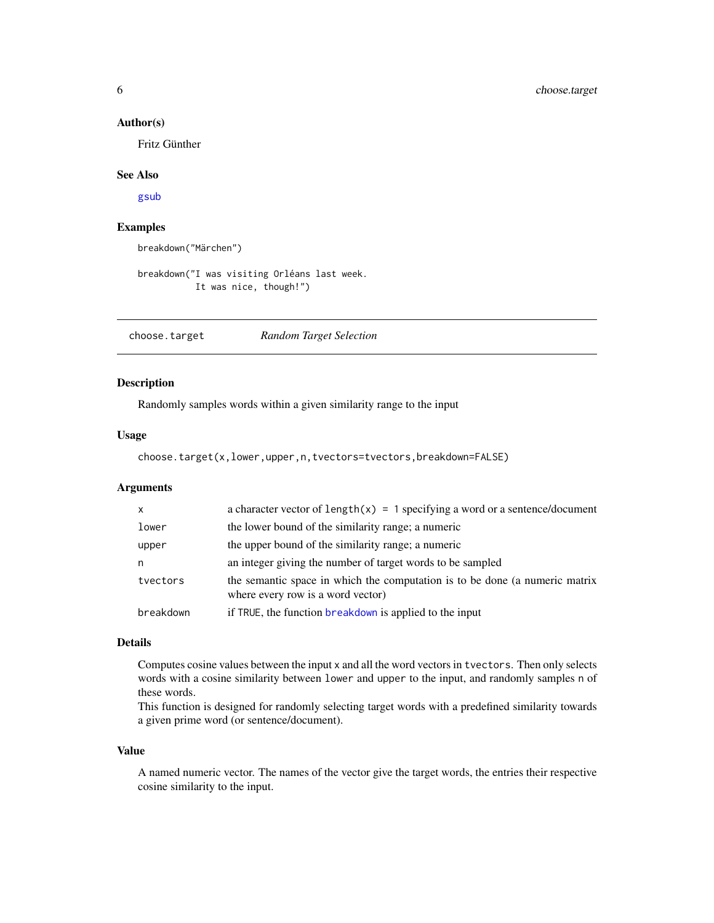#### <span id="page-5-0"></span>Author(s)

Fritz Günther

#### See Also

[gsub](#page-0-0)

#### Examples

breakdown("Märchen")

breakdown("I was visiting Orléans last week. It was nice, though!")

choose.target *Random Target Selection*

#### Description

Randomly samples words within a given similarity range to the input

#### Usage

choose.target(x,lower,upper,n,tvectors=tvectors,breakdown=FALSE)

#### Arguments

| $\mathsf{x}$ | a character vector of $length(x) = 1$ specifying a word or a sentence/document                                   |
|--------------|------------------------------------------------------------------------------------------------------------------|
| lower        | the lower bound of the similarity range; a numeric                                                               |
| upper        | the upper bound of the similarity range; a numeric                                                               |
| n            | an integer giving the number of target words to be sampled                                                       |
| tvectors     | the semantic space in which the computation is to be done (a numeric matrix<br>where every row is a word vector) |
| breakdown    | if TRUE, the function breakdown is applied to the input                                                          |

#### Details

Computes cosine values between the input x and all the word vectors in tvectors. Then only selects words with a cosine similarity between lower and upper to the input, and randomly samples n of these words.

This function is designed for randomly selecting target words with a predefined similarity towards a given prime word (or sentence/document).

#### Value

A named numeric vector. The names of the vector give the target words, the entries their respective cosine similarity to the input.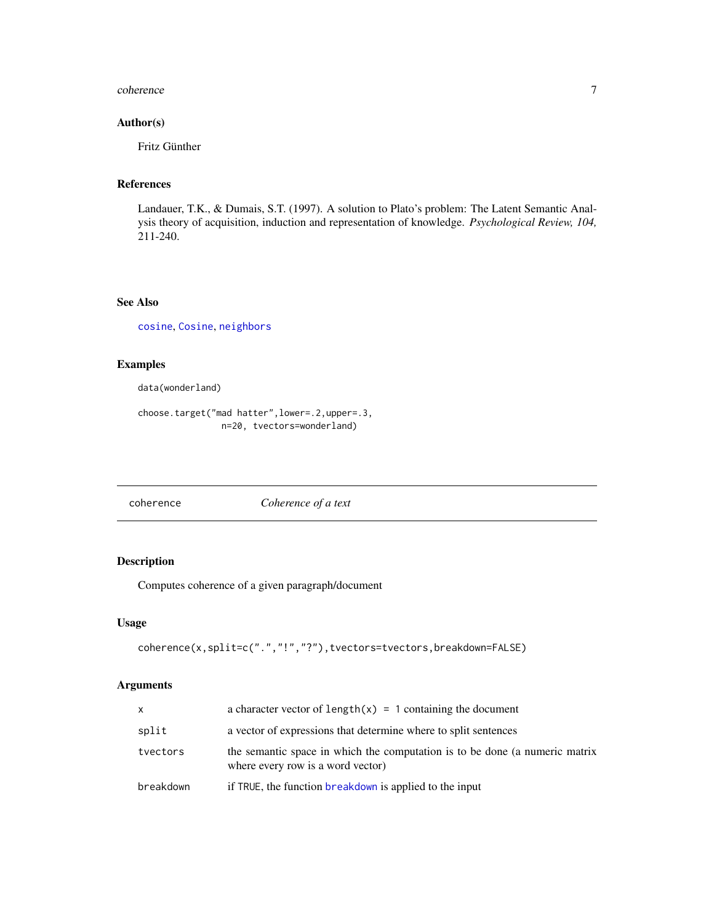#### <span id="page-6-0"></span>coherence 7 and 7 and 7 and 7 and 7 and 7 and 7 and 7 and 7 and 7 and 7 and 7 and 7 and 7 and 7 and 7 and 7 and 7 and 7 and 7 and 7 and 7 and 7 and 7 and 7 and 7 and 7 and 7 and 7 and 7 and 7 and 7 and 7 and 7 and 7 and 7

#### Author(s)

Fritz Günther

#### References

Landauer, T.K., & Dumais, S.T. (1997). A solution to Plato's problem: The Latent Semantic Analysis theory of acquisition, induction and representation of knowledge. *Psychological Review, 104,* 211-240.

#### See Also

[cosine](#page-0-0), [Cosine](#page-11-1), [neighbors](#page-20-1)

#### Examples

data(wonderland)

choose.target("mad hatter",lower=.2,upper=.3, n=20, tvectors=wonderland)

coherence *Coherence of a text*

#### Description

Computes coherence of a given paragraph/document

#### Usage

```
coherence(x,split=c(".","!","?"),tvectors=tvectors,breakdown=FALSE)
```

| x         | a character vector of $length(x) = 1$ containing the document                                                    |
|-----------|------------------------------------------------------------------------------------------------------------------|
| split     | a vector of expressions that determine where to split sentences                                                  |
| tvectors  | the semantic space in which the computation is to be done (a numeric matrix<br>where every row is a word vector) |
| breakdown | if TRUE, the function breakdown is applied to the input                                                          |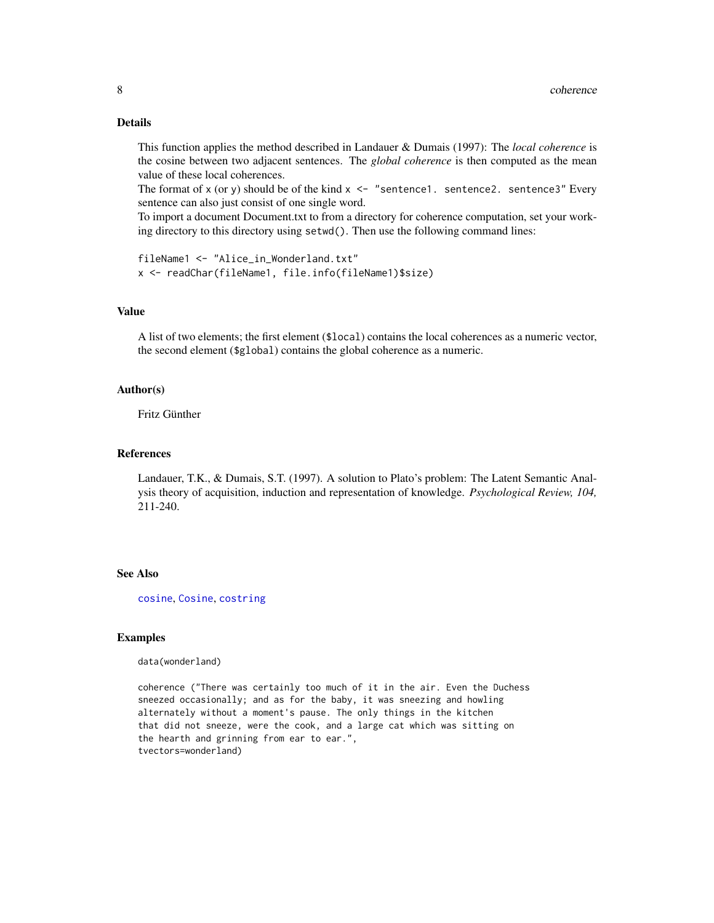#### Details

This function applies the method described in Landauer & Dumais (1997): The *local coherence* is the cosine between two adjacent sentences. The *global coherence* is then computed as the mean value of these local coherences.

The format of x (or y) should be of the kind  $x \leq -1$  "sentence1. sentence2. sentence3" Every sentence can also just consist of one single word.

To import a document Document.txt to from a directory for coherence computation, set your working directory to this directory using setwd(). Then use the following command lines:

```
fileName1 <- "Alice_in_Wonderland.txt"
x <- readChar(fileName1, file.info(fileName1)$size)
```
#### Value

A list of two elements; the first element (\$local) contains the local coherences as a numeric vector, the second element (\$global) contains the global coherence as a numeric.

#### Author(s)

Fritz Günther

#### References

Landauer, T.K., & Dumais, S.T. (1997). A solution to Plato's problem: The Latent Semantic Analysis theory of acquisition, induction and representation of knowledge. *Psychological Review, 104,* 211-240.

#### See Also

[cosine](#page-0-0), [Cosine](#page-11-1), [costring](#page-12-1)

#### Examples

data(wonderland)

coherence ("There was certainly too much of it in the air. Even the Duchess sneezed occasionally; and as for the baby, it was sneezing and howling alternately without a moment's pause. The only things in the kitchen that did not sneeze, were the cook, and a large cat which was sitting on the hearth and grinning from ear to ear.", tvectors=wonderland)

<span id="page-7-0"></span>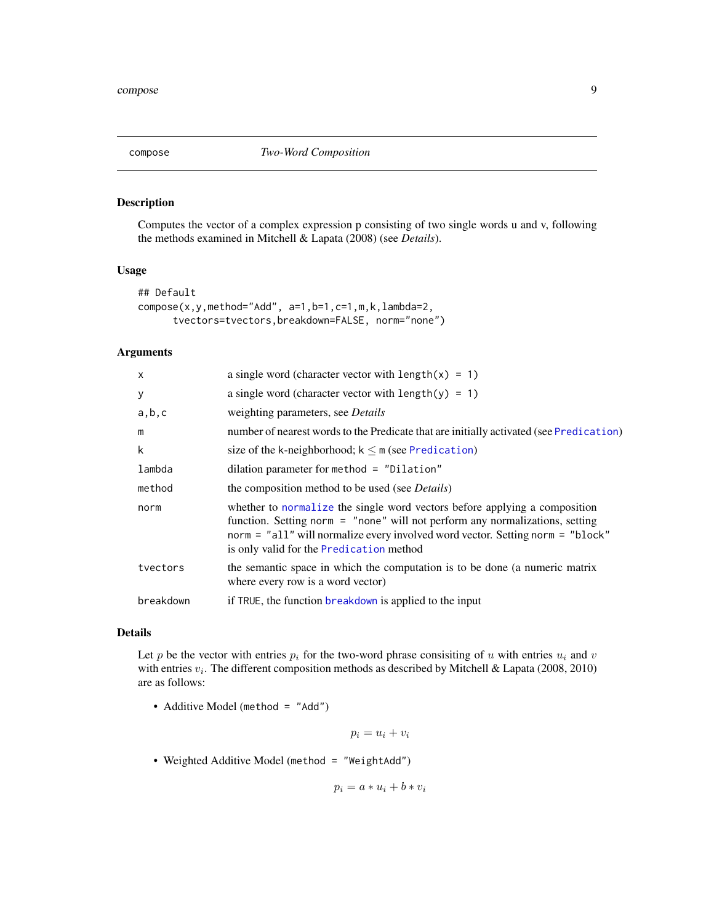<span id="page-8-1"></span><span id="page-8-0"></span>

#### Description

Computes the vector of a complex expression p consisting of two single words u and v, following the methods examined in Mitchell & Lapata (2008) (see *Details*).

#### Usage

```
## Default
compose(x,y,method="Add", a=1,b=1,c=1,m,k,lambda=2,
     tvectors=tvectors,breakdown=FALSE, norm="none")
```
#### Arguments

| $\mathsf{x}$ | a single word (character vector with $length(x) = 1$ )                                                                                                                                                                                                                                   |
|--------------|------------------------------------------------------------------------------------------------------------------------------------------------------------------------------------------------------------------------------------------------------------------------------------------|
| У            | a single word (character vector with $length(y) = 1$ )                                                                                                                                                                                                                                   |
| a,b,c        | weighting parameters, see Details                                                                                                                                                                                                                                                        |
| m            | number of nearest words to the Predicate that are initially activated (see Predication)                                                                                                                                                                                                  |
| k            | size of the k-neighborhood; $k \le m$ (see Predication)                                                                                                                                                                                                                                  |
| lambda       | dilation parameter for method $=$ "Dilation"                                                                                                                                                                                                                                             |
| method       | the composition method to be used (see <i>Details</i> )                                                                                                                                                                                                                                  |
| norm         | whether to normalize the single word vectors before applying a composition<br>function. Setting norm = "none" will not perform any normalizations, setting<br>norm = "all" will normalize every involved word vector. Setting norm = "block"<br>is only valid for the Predication method |
| tvectors     | the semantic space in which the computation is to be done (a numeric matrix<br>where every row is a word vector)                                                                                                                                                                         |
| breakdown    | if TRUE, the function breakdown is applied to the input                                                                                                                                                                                                                                  |
|              |                                                                                                                                                                                                                                                                                          |

#### Details

Let p be the vector with entries  $p_i$  for the two-word phrase consisiting of u with entries  $u_i$  and v with entries  $v_i$ . The different composition methods as described by Mitchell & Lapata (2008, 2010) are as follows:

• Additive Model (method = "Add")

$$
p_i = u_i + v_i
$$

• Weighted Additive Model (method = "WeightAdd")

$$
p_i = a * u_i + b * v_i
$$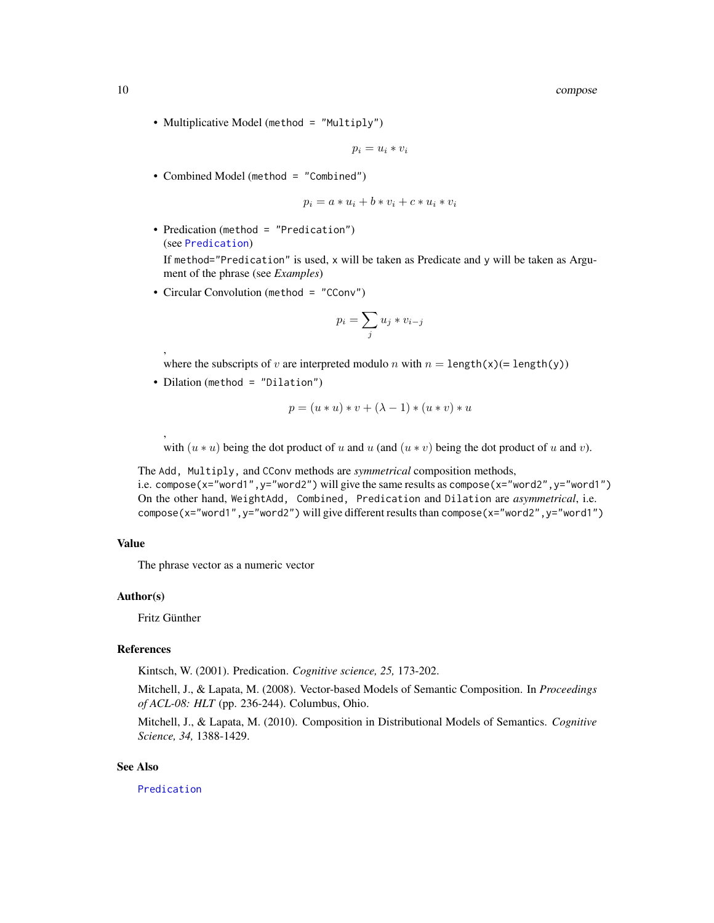<span id="page-9-0"></span>10 compose

• Multiplicative Model (method = "Multiply")

$$
p_i = u_i * v_i
$$

• Combined Model (method = "Combined")

$$
p_i = a * u_i + b * v_i + c * u_i * v_i
$$

• Predication (method = "Predication") (see [Predication](#page-30-1))

If method="Predication" is used, x will be taken as Predicate and y will be taken as Argument of the phrase (see *Examples*)

• Circular Convolution (method = "CConv")

$$
p_i = \sum_j u_j * v_{i-j}
$$

where the subscripts of v are interpreted modulo n with  $n = \text{length}(x) = \text{length}(y)$ 

• Dilation (method = "Dilation")

$$
p = (u * u) * v + (\lambda - 1) * (u * v) * u
$$

with  $(u * u)$  being the dot product of u and u (and  $(u * v)$  being the dot product of u and v).

The Add, Multiply, and CConv methods are *symmetrical* composition methods, i.e. compose(x="word1", y="word2") will give the same results as compose(x="word2", y="word1") On the other hand, WeightAdd, Combined, Predication and Dilation are *asymmetrical*, i.e. compose(x="word1",y="word2") will give different results than compose(x="word2",y="word1")

#### Value

The phrase vector as a numeric vector

#### Author(s)

Fritz Günther

,

,

#### References

Kintsch, W. (2001). Predication. *Cognitive science, 25,* 173-202.

Mitchell, J., & Lapata, M. (2008). Vector-based Models of Semantic Composition. In *Proceedings of ACL-08: HLT* (pp. 236-244). Columbus, Ohio.

Mitchell, J., & Lapata, M. (2010). Composition in Distributional Models of Semantics. *Cognitive Science, 34,* 1388-1429.

#### See Also

[Predication](#page-30-1)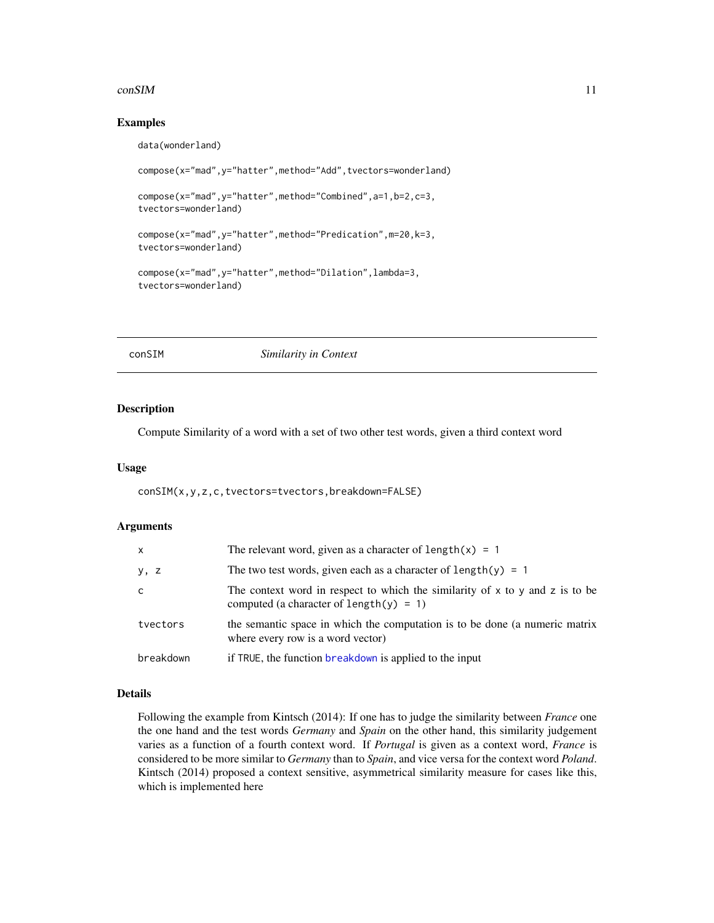#### <span id="page-10-0"></span> $\epsilon$  consistent to the constant of the constant of the constant of the constant of the constant of the constant of the constant of the constant of the constant of the constant of the constant of the constant of the consta

#### Examples

```
data(wonderland)
```

```
compose(x="mad",y="hatter",method="Add",tvectors=wonderland)
compose(x="mad",y="hatter",method="Combined",a=1,b=2,c=3,
tvectors=wonderland)
compose(x="mad",y="hatter",method="Predication",m=20,k=3,
tvectors=wonderland)
compose(x="mad",y="hatter",method="Dilation",lambda=3,
tvectors=wonderland)
```
<span id="page-10-1"></span>conSIM *Similarity in Context*

#### Description

Compute Similarity of a word with a set of two other test words, given a third context word

#### Usage

conSIM(x,y,z,c,tvectors=tvectors,breakdown=FALSE)

#### Arguments

| $\mathsf{x}$ | The relevant word, given as a character of length $(x) = 1$                                                                   |
|--------------|-------------------------------------------------------------------------------------------------------------------------------|
| y, z         | The two test words, given each as a character of length(y) = 1                                                                |
| C            | The context word in respect to which the similarity of $x$ to $y$ and $z$ is to be<br>computed (a character of length(y) = 1) |
| tvectors     | the semantic space in which the computation is to be done (a numeric matrix<br>where every row is a word vector)              |
| breakdown    | if TRUE, the function breakdown is applied to the input                                                                       |

#### Details

Following the example from Kintsch (2014): If one has to judge the similarity between *France* one the one hand and the test words *Germany* and *Spain* on the other hand, this similarity judgement varies as a function of a fourth context word. If *Portugal* is given as a context word, *France* is considered to be more similar to *Germany* than to *Spain*, and vice versa for the context word *Poland*. Kintsch (2014) proposed a context sensitive, asymmetrical similarity measure for cases like this, which is implemented here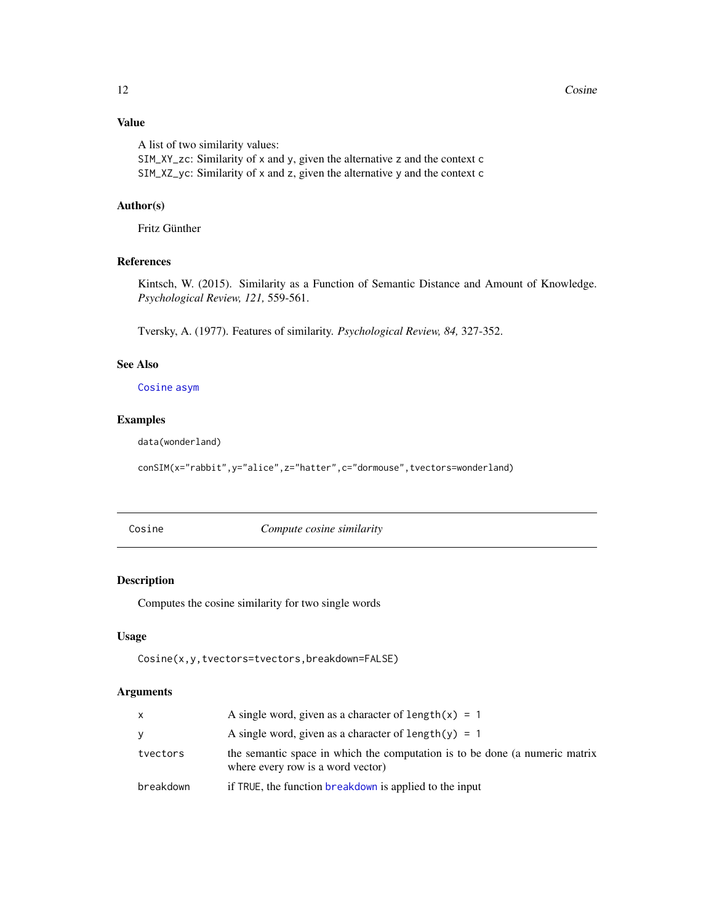### <span id="page-11-0"></span>Value

A list of two similarity values: SIM\_XY\_zc: Similarity of x and y, given the alternative z and the context c SIM\_XZ\_yc: Similarity of x and z, given the alternative y and the context c

#### Author(s)

Fritz Günther

#### References

Kintsch, W. (2015). Similarity as a Function of Semantic Distance and Amount of Knowledge. *Psychological Review, 121,* 559-561.

Tversky, A. (1977). Features of similarity. *Psychological Review, 84,* 327-352.

#### See Also

[Cosine](#page-11-1) [asym](#page-2-1)

#### Examples

data(wonderland)

```
conSIM(x="rabbit",y="alice",z="hatter",c="dormouse",tvectors=wonderland)
```
<span id="page-11-1"></span>

Cosine *Compute cosine similarity*

#### Description

Computes the cosine similarity for two single words

#### Usage

Cosine(x,y,tvectors=tvectors,breakdown=FALSE)

|           | A single word, given as a character of length $(x) = 1$                                                          |
|-----------|------------------------------------------------------------------------------------------------------------------|
| V         | A single word, given as a character of length(y) = 1                                                             |
| tvectors  | the semantic space in which the computation is to be done (a numeric matrix<br>where every row is a word vector) |
| breakdown | if TRUE, the function breakdown is applied to the input                                                          |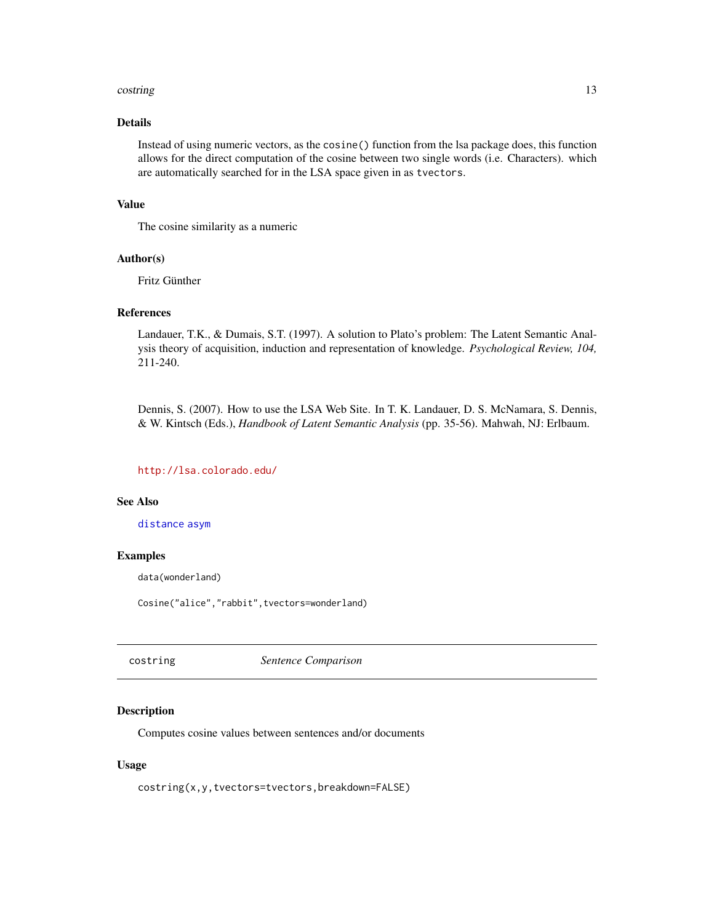#### <span id="page-12-0"></span>costring the control of the control of the control of the control of the control of the control of the control of the control of the control of the control of the control of the control of the control of the control of the

#### Details

Instead of using numeric vectors, as the cosine() function from the lsa package does, this function allows for the direct computation of the cosine between two single words (i.e. Characters). which are automatically searched for in the LSA space given in as tvectors.

#### Value

The cosine similarity as a numeric

#### Author(s)

Fritz Günther

#### References

Landauer, T.K., & Dumais, S.T. (1997). A solution to Plato's problem: The Latent Semantic Analysis theory of acquisition, induction and representation of knowledge. *Psychological Review, 104,* 211-240.

Dennis, S. (2007). How to use the LSA Web Site. In T. K. Landauer, D. S. McNamara, S. Dennis, & W. Kintsch (Eds.), *Handbook of Latent Semantic Analysis* (pp. 35-56). Mahwah, NJ: Erlbaum.

#### <http://lsa.colorado.edu/>

#### See Also

[distance](#page-14-1) [asym](#page-2-1)

#### Examples

data(wonderland)

Cosine("alice","rabbit",tvectors=wonderland)

<span id="page-12-1"></span>costring *Sentence Comparison*

#### Description

Computes cosine values between sentences and/or documents

#### Usage

costring(x,y,tvectors=tvectors,breakdown=FALSE)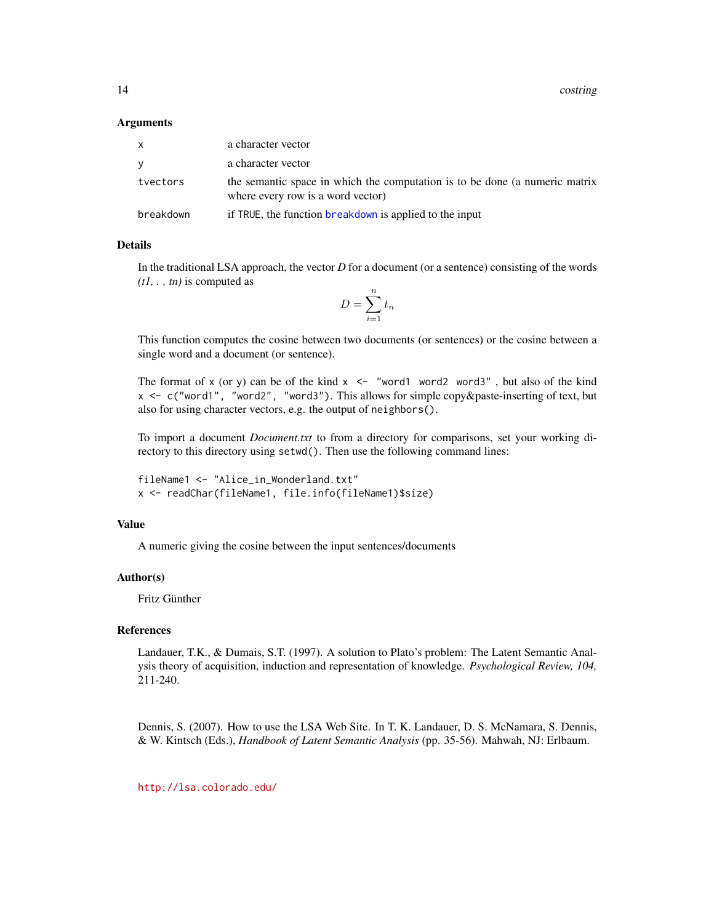<span id="page-13-0"></span>14 costring control of the control of the control of the control of the control of the control of the control of the control of the control of the control of the control of the control of the control of the control of the

#### Arguments

| x.        | a character vector                                                                                               |
|-----------|------------------------------------------------------------------------------------------------------------------|
| ۷         | a character vector                                                                                               |
| tvectors  | the semantic space in which the computation is to be done (a numeric matrix<br>where every row is a word vector) |
| breakdown | if TRUE, the function breakdown is applied to the input                                                          |

#### Details

In the traditional LSA approach, the vector *D* for a document (or a sentence) consisting of the words *(t1, . , tn)* is computed as

$$
D = \sum_{i=1}^{n} t_n
$$

This function computes the cosine between two documents (or sentences) or the cosine between a single word and a document (or sentence).

The format of x (or y) can be of the kind  $x \le -1$  "word1 word2 word3", but also of the kind x <- c("word1", "word2", "word3"). This allows for simple copy&paste-inserting of text, but also for using character vectors, e.g. the output of neighbors().

To import a document *Document.txt* to from a directory for comparisons, set your working directory to this directory using setwd(). Then use the following command lines:

fileName1 <- "Alice\_in\_Wonderland.txt" x <- readChar(fileName1, file.info(fileName1)\$size)

#### Value

A numeric giving the cosine between the input sentences/documents

#### Author(s)

Fritz Günther

#### References

Landauer, T.K., & Dumais, S.T. (1997). A solution to Plato's problem: The Latent Semantic Analysis theory of acquisition, induction and representation of knowledge. *Psychological Review, 104,* 211-240.

Dennis, S. (2007). How to use the LSA Web Site. In T. K. Landauer, D. S. McNamara, S. Dennis, & W. Kintsch (Eds.), *Handbook of Latent Semantic Analysis* (pp. 35-56). Mahwah, NJ: Erlbaum.

<http://lsa.colorado.edu/>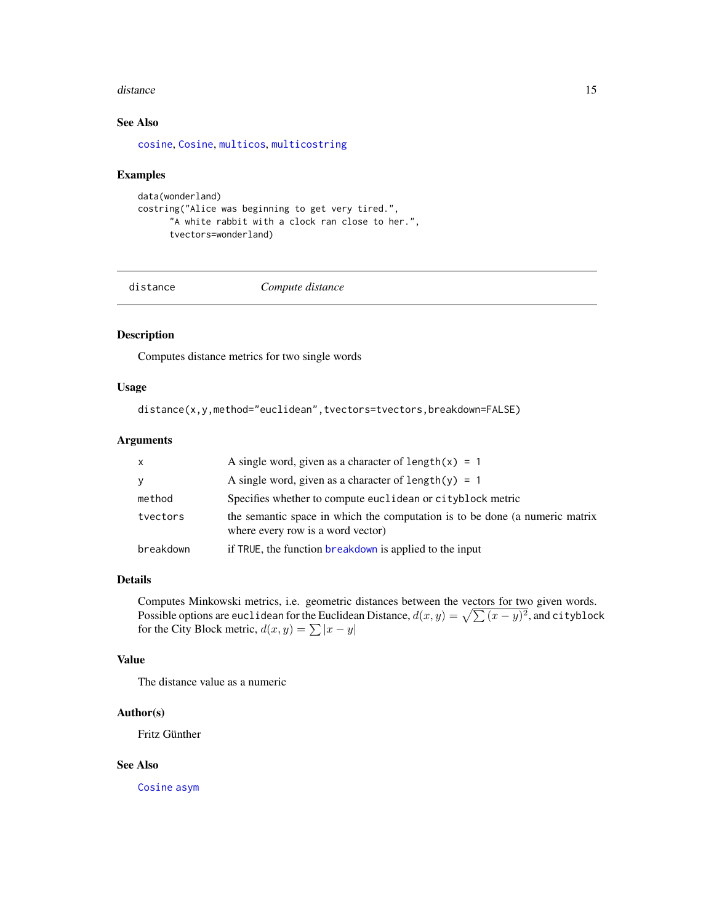#### <span id="page-14-0"></span>distance and the contract of the contract of the contract of the contract of the contract of the contract of the contract of the contract of the contract of the contract of the contract of the contract of the contract of t

#### See Also

[cosine](#page-0-0), [Cosine](#page-11-1), [multicos](#page-16-1), [multicostring](#page-17-1)

#### Examples

```
data(wonderland)
costring("Alice was beginning to get very tired.",
      "A white rabbit with a clock ran close to her.",
     tvectors=wonderland)
```
<span id="page-14-1"></span>

distance *Compute distance*

#### Description

Computes distance metrics for two single words

#### Usage

distance(x,y,method="euclidean",tvectors=tvectors,breakdown=FALSE)

#### Arguments

| $\mathsf{x}$ | A single word, given as a character of length $(x) = 1$                                                          |
|--------------|------------------------------------------------------------------------------------------------------------------|
| y            | A single word, given as a character of length(y) = 1                                                             |
| method       | Specifies whether to compute euclidean or cityblock metric                                                       |
| tvectors     | the semantic space in which the computation is to be done (a numeric matrix<br>where every row is a word vector) |
| breakdown    | if TRUE, the function breakdown is applied to the input                                                          |

#### Details

Computes Minkowski metrics, i.e. geometric distances between the vectors for two given words. Possible options are euclidean for the Euclidean Distance,  $d(x, y) = \sqrt{\sum(x - y)^2}$ , and cityblock for the City Block metric,  $d(x, y) = \sum |x - y|$ 

#### Value

The distance value as a numeric

#### Author(s)

Fritz Günther

#### See Also

[Cosine](#page-11-1) [asym](#page-2-1)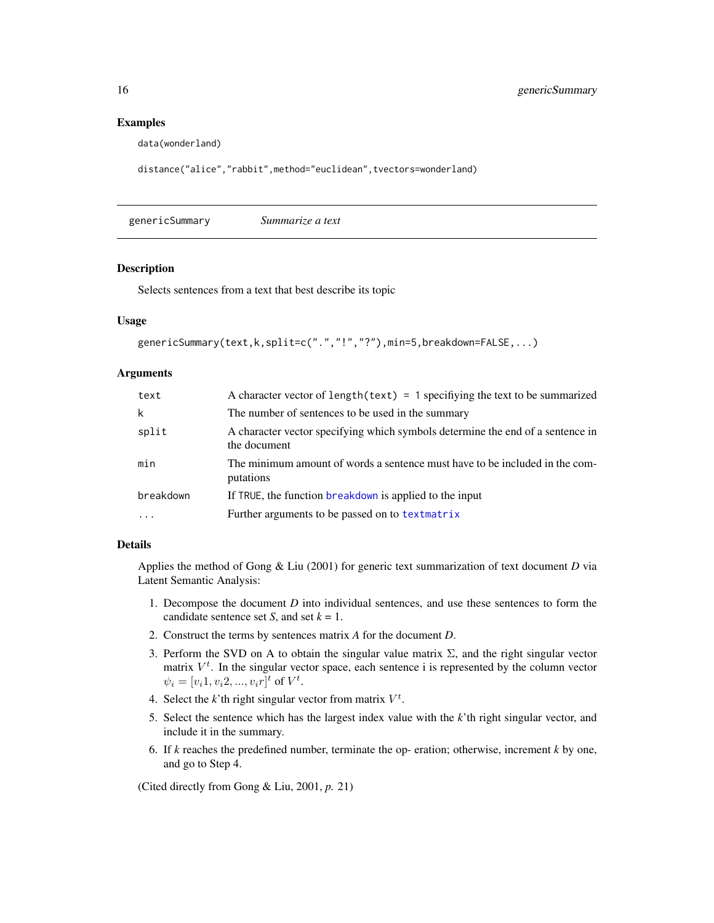#### Examples

data(wonderland)

```
distance("alice","rabbit",method="euclidean",tvectors=wonderland)
```
genericSummary *Summarize a text*

#### Description

Selects sentences from a text that best describe its topic

#### Usage

```
genericSummary(text,k,split=c(".","!","?"),min=5,breakdown=FALSE,...)
```
#### **Arguments**

| text      | A character vector of length (text) = 1 specifiying the text to be summarized                  |
|-----------|------------------------------------------------------------------------------------------------|
| k         | The number of sentences to be used in the summary                                              |
| split     | A character vector specifying which symbols determine the end of a sentence in<br>the document |
| min       | The minimum amount of words a sentence must have to be included in the com-<br>putations       |
| breakdown | If TRUE, the function breakdown is applied to the input                                        |
|           | Further arguments to be passed on to textmatrix                                                |

#### Details

Applies the method of Gong & Liu (2001) for generic text summarization of text document *D* via Latent Semantic Analysis:

- 1. Decompose the document *D* into individual sentences, and use these sentences to form the candidate sentence set *S*, and set  $k = 1$ .
- 2. Construct the terms by sentences matrix *A* for the document *D*.
- 3. Perform the SVD on A to obtain the singular value matrix  $\Sigma$ , and the right singular vector matrix  $V<sup>t</sup>$ . In the singular vector space, each sentence i is represented by the column vector  $\psi_i = [v_i 1, v_i 2, ..., v_i r]^t$  of  $V^t$ .
- 4. Select the  $k$ 'th right singular vector from matrix  $V^t$ .
- 5. Select the sentence which has the largest index value with the *k*'th right singular vector, and include it in the summary.
- 6. If *k* reaches the predefined number, terminate the op- eration; otherwise, increment *k* by one, and go to Step 4.

(Cited directly from Gong & Liu, 2001, *p.* 21)

<span id="page-15-0"></span>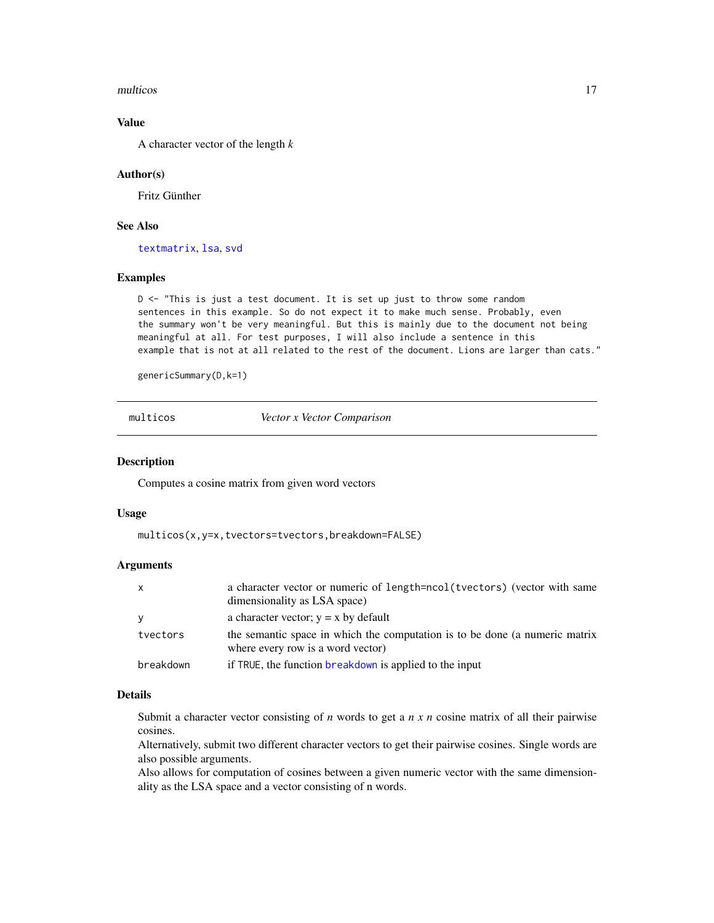#### <span id="page-16-0"></span>multicos antes de la contrada de la contrada de la contrada de la contrada de la contrada de la contrada de la contrada de la contrada de la contrada de la contrada de la contrada de la contrada de la contrada de la contra

#### Value

A character vector of the length *k*

#### Author(s)

Fritz Günther

#### See Also

[textmatrix](#page-0-0), [lsa](#page-0-0), [svd](#page-0-0)

#### Examples

D <- "This is just a test document. It is set up just to throw some random sentences in this example. So do not expect it to make much sense. Probably, even the summary won't be very meaningful. But this is mainly due to the document not being meaningful at all. For test purposes, I will also include a sentence in this example that is not at all related to the rest of the document. Lions are larger than cats."

genericSummary(D,k=1)

<span id="page-16-1"></span>multicos *Vector x Vector Comparison*

#### Description

Computes a cosine matrix from given word vectors

#### Usage

multicos(x,y=x,tvectors=tvectors,breakdown=FALSE)

#### Arguments

| X         | a character vector or numeric of length=ncol(tvectors) (vector with same                                         |
|-----------|------------------------------------------------------------------------------------------------------------------|
|           | dimensionality as LSA space)                                                                                     |
| V         | a character vector; $y = x$ by default                                                                           |
| tvectors  | the semantic space in which the computation is to be done (a numeric matrix<br>where every row is a word vector) |
| breakdown | if TRUE, the function breakdown is applied to the input                                                          |

#### Details

Submit a character vector consisting of *n* words to get a *n x n* cosine matrix of all their pairwise cosines.

Alternatively, submit two different character vectors to get their pairwise cosines. Single words are also possible arguments.

Also allows for computation of cosines between a given numeric vector with the same dimensionality as the LSA space and a vector consisting of n words.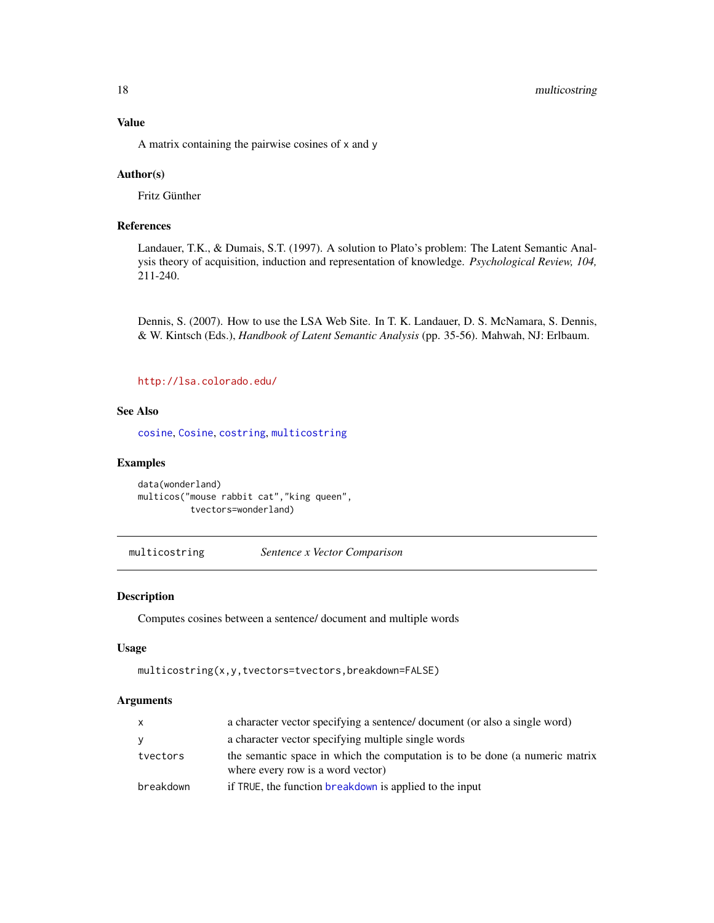<span id="page-17-0"></span>A matrix containing the pairwise cosines of x and y

#### Author(s)

Fritz Günther

#### References

Landauer, T.K., & Dumais, S.T. (1997). A solution to Plato's problem: The Latent Semantic Analysis theory of acquisition, induction and representation of knowledge. *Psychological Review, 104,* 211-240.

Dennis, S. (2007). How to use the LSA Web Site. In T. K. Landauer, D. S. McNamara, S. Dennis, & W. Kintsch (Eds.), *Handbook of Latent Semantic Analysis* (pp. 35-56). Mahwah, NJ: Erlbaum.

<http://lsa.colorado.edu/>

#### See Also

[cosine](#page-0-0), [Cosine](#page-11-1), [costring](#page-12-1), [multicostring](#page-17-1)

#### Examples

```
data(wonderland)
multicos("mouse rabbit cat","king queen",
          tvectors=wonderland)
```
<span id="page-17-1"></span>multicostring *Sentence x Vector Comparison*

#### Description

Computes cosines between a sentence/ document and multiple words

#### Usage

```
multicostring(x,y,tvectors=tvectors,breakdown=FALSE)
```

| $\mathsf{x}$ | a character vector specifying a sentence/ document (or also a single word)                                       |
|--------------|------------------------------------------------------------------------------------------------------------------|
| <b>V</b>     | a character vector specifying multiple single words                                                              |
| tvectors     | the semantic space in which the computation is to be done (a numeric matrix<br>where every row is a word vector) |
| breakdown    | if TRUE, the function breakdown is applied to the input                                                          |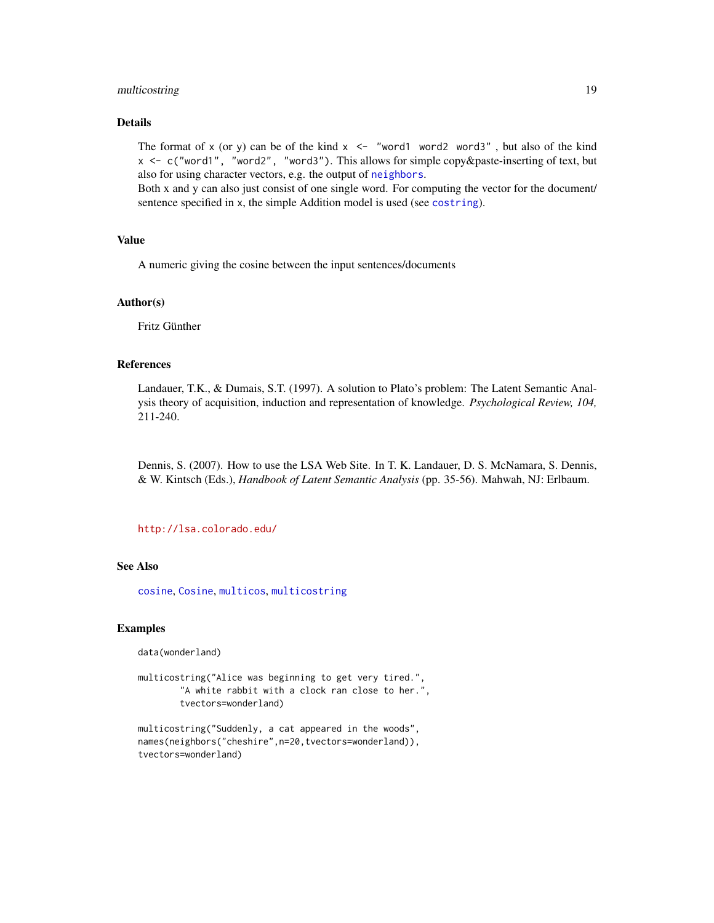#### <span id="page-18-0"></span>multicostring 19

#### Details

The format of x (or y) can be of the kind  $x \le -1$  "word1 word2 word3", but also of the kind x <- c("word1", "word2", "word3"). This allows for simple copy&paste-inserting of text, but also for using character vectors, e.g. the output of [neighbors](#page-20-1).

Both x and y can also just consist of one single word. For computing the vector for the document/ sentence specified in x, the simple Addition model is used (see [costring](#page-12-1)).

#### Value

A numeric giving the cosine between the input sentences/documents

#### Author(s)

Fritz Günther

#### References

Landauer, T.K., & Dumais, S.T. (1997). A solution to Plato's problem: The Latent Semantic Analysis theory of acquisition, induction and representation of knowledge. *Psychological Review, 104,* 211-240.

Dennis, S. (2007). How to use the LSA Web Site. In T. K. Landauer, D. S. McNamara, S. Dennis, & W. Kintsch (Eds.), *Handbook of Latent Semantic Analysis* (pp. 35-56). Mahwah, NJ: Erlbaum.

#### <http://lsa.colorado.edu/>

#### See Also

[cosine](#page-0-0), [Cosine](#page-11-1), [multicos](#page-16-1), [multicostring](#page-17-1)

#### Examples

data(wonderland)

```
multicostring("Alice was beginning to get very tired.",
        "A white rabbit with a clock ran close to her.",
       tvectors=wonderland)
```

```
multicostring("Suddenly, a cat appeared in the woods",
names(neighbors("cheshire",n=20,tvectors=wonderland)),
tvectors=wonderland)
```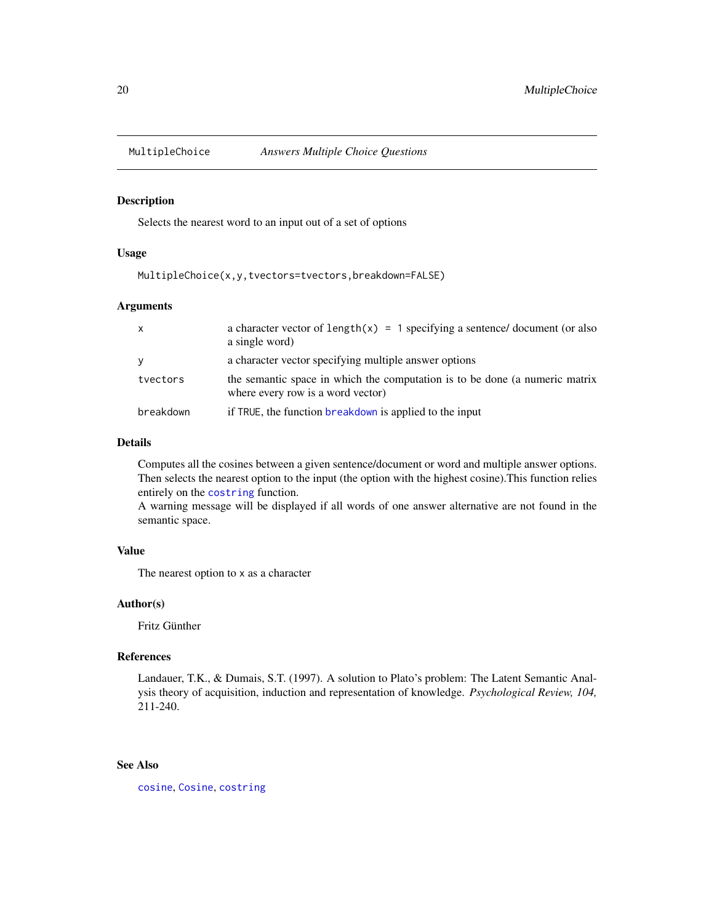<span id="page-19-0"></span>

#### Description

Selects the nearest word to an input out of a set of options

#### Usage

```
MultipleChoice(x,y,tvectors=tvectors,breakdown=FALSE)
```
#### Arguments

| X         | a character vector of $length(x) = 1$ specifying a sentence/ document (or also<br>a single word)                 |
|-----------|------------------------------------------------------------------------------------------------------------------|
|           | a character vector specifying multiple answer options                                                            |
| tvectors  | the semantic space in which the computation is to be done (a numeric matrix<br>where every row is a word vector) |
| breakdown | if TRUE, the function breakdown is applied to the input                                                          |

#### Details

Computes all the cosines between a given sentence/document or word and multiple answer options. Then selects the nearest option to the input (the option with the highest cosine).This function relies entirely on the [costring](#page-12-1) function.

A warning message will be displayed if all words of one answer alternative are not found in the semantic space.

#### Value

The nearest option to x as a character

#### Author(s)

Fritz Günther

#### References

Landauer, T.K., & Dumais, S.T. (1997). A solution to Plato's problem: The Latent Semantic Analysis theory of acquisition, induction and representation of knowledge. *Psychological Review, 104,* 211-240.

#### See Also

[cosine](#page-0-0), [Cosine](#page-11-1), [costring](#page-12-1)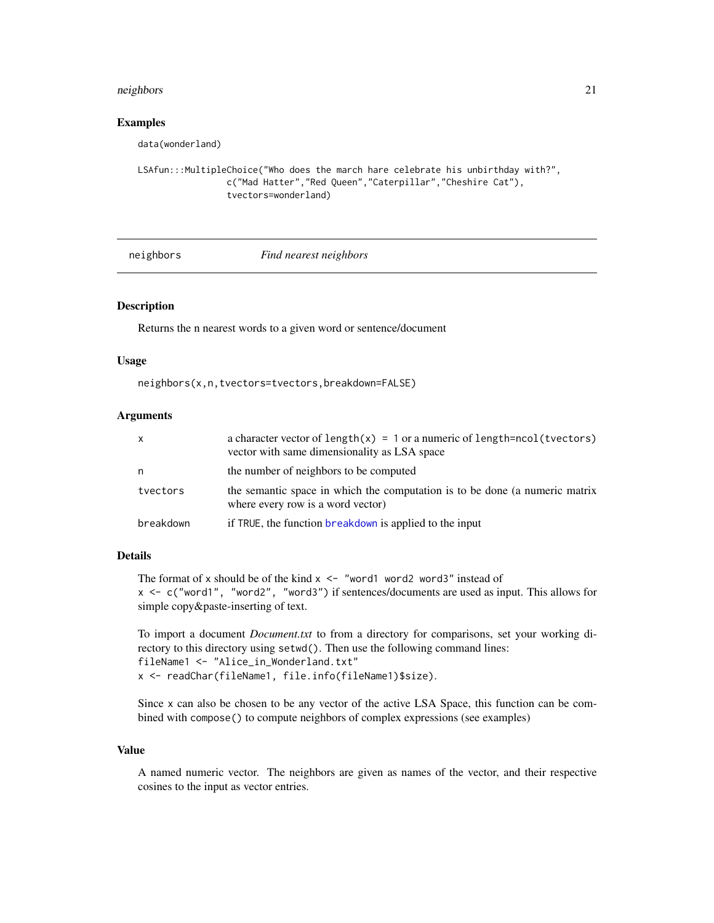#### <span id="page-20-0"></span>neighbors 21

#### Examples

data(wonderland)

```
LSAfun:::MultipleChoice("Who does the march hare celebrate his unbirthday with?",
                 c("Mad Hatter","Red Queen","Caterpillar","Cheshire Cat"),
                 tvectors=wonderland)
```
#### <span id="page-20-1"></span>neighbors *Find nearest neighbors*

#### Description

Returns the n nearest words to a given word or sentence/document

#### Usage

neighbors(x,n,tvectors=tvectors,breakdown=FALSE)

#### Arguments

| <b>X</b>  | a character vector of length $(x) = 1$ or a numeric of length=ncol(tvectors)<br>vector with same dimensionality as LSA space |
|-----------|------------------------------------------------------------------------------------------------------------------------------|
| n         | the number of neighbors to be computed                                                                                       |
| tvectors  | the semantic space in which the computation is to be done (a numeric matrix<br>where every row is a word vector)             |
| breakdown | if TRUE, the function breakdown is applied to the input                                                                      |

#### Details

The format of x should be of the kind  $x \leq -1$  "word1 word2 word3" instead of x <- c("word1", "word2", "word3") if sentences/documents are used as input. This allows for simple copy&paste-inserting of text.

To import a document *Document.txt* to from a directory for comparisons, set your working directory to this directory using setwd(). Then use the following command lines: fileName1 <- "Alice\_in\_Wonderland.txt" x <- readChar(fileName1, file.info(fileName1)\$size).

Since x can also be chosen to be any vector of the active LSA Space, this function can be combined with compose() to compute neighbors of complex expressions (see examples)

#### Value

A named numeric vector. The neighbors are given as names of the vector, and their respective cosines to the input as vector entries.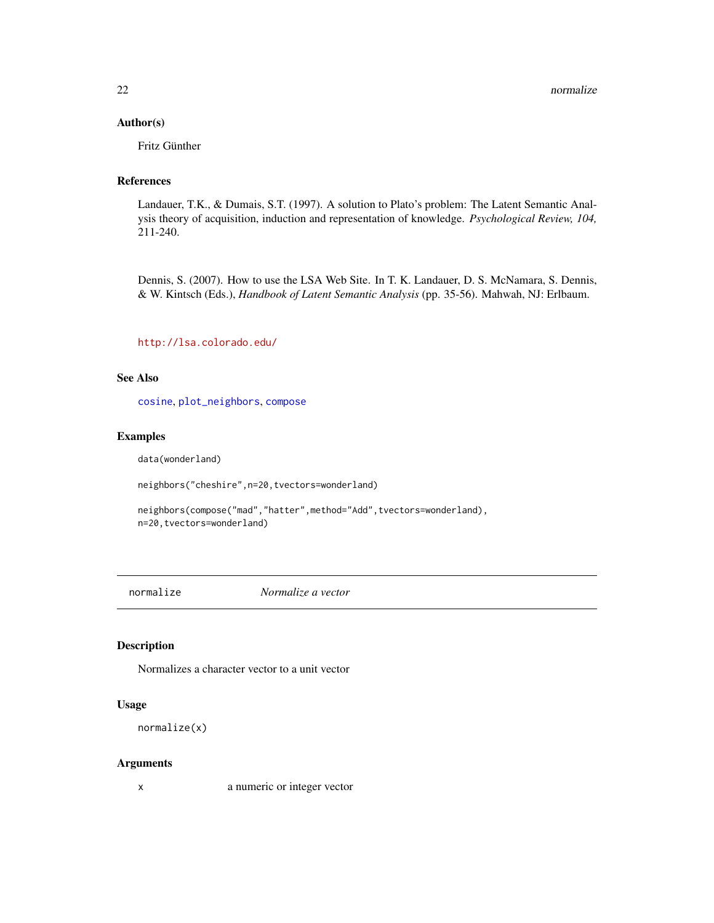#### <span id="page-21-0"></span>Author(s)

Fritz Günther

#### References

Landauer, T.K., & Dumais, S.T. (1997). A solution to Plato's problem: The Latent Semantic Analysis theory of acquisition, induction and representation of knowledge. *Psychological Review, 104,* 211-240.

Dennis, S. (2007). How to use the LSA Web Site. In T. K. Landauer, D. S. McNamara, S. Dennis, & W. Kintsch (Eds.), *Handbook of Latent Semantic Analysis* (pp. 35-56). Mahwah, NJ: Erlbaum.

#### <http://lsa.colorado.edu/>

#### See Also

[cosine](#page-0-0), [plot\\_neighbors](#page-26-1), [compose](#page-8-1)

#### Examples

data(wonderland)

neighbors("cheshire",n=20,tvectors=wonderland)

neighbors(compose("mad","hatter",method="Add",tvectors=wonderland), n=20,tvectors=wonderland)

<span id="page-21-1"></span>

normalize *Normalize a vector*

#### Description

Normalizes a character vector to a unit vector

#### Usage

```
normalize(x)
```
#### Arguments

x a numeric or integer vector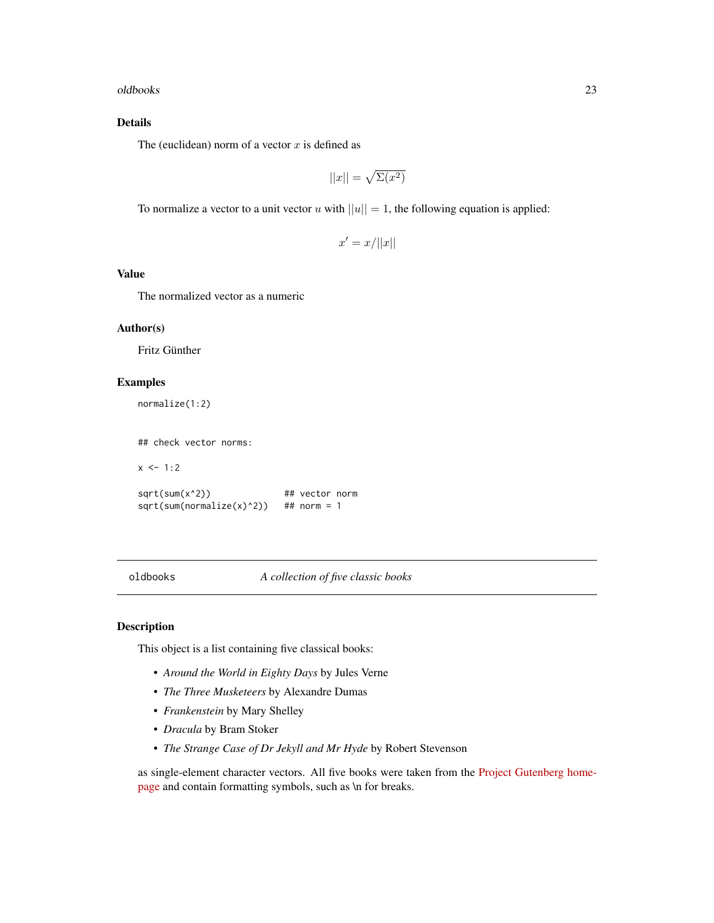#### <span id="page-22-0"></span>oldbooks 23

### Details

The (euclidean) norm of a vector  $x$  is defined as

$$
||x|| = \sqrt{\Sigma(x^2)}
$$

To normalize a vector to a unit vector u with  $||u|| = 1$ , the following equation is applied:

 $x' = x/||x||$ 

#### Value

The normalized vector as a numeric

#### Author(s)

Fritz Günther

#### Examples

```
normalize(1:2)
```
## check vector norms:

 $x < -1:2$ 

sqrt(sum(x^2)) ## vector norm  $sqrt(sum(normalize(x)^2))$  ## norm = 1

oldbooks *A collection of five classic books*

#### Description

This object is a list containing five classical books:

- *Around the World in Eighty Days* by Jules Verne
- *The Three Musketeers* by Alexandre Dumas
- *Frankenstein* by Mary Shelley
- *Dracula* by Bram Stoker
- *The Strange Case of Dr Jekyll and Mr Hyde* by Robert Stevenson

as single-element character vectors. All five books were taken from the [Project Gutenberg home](http://www.gutenberg.org)[page](http://www.gutenberg.org) and contain formatting symbols, such as \n for breaks.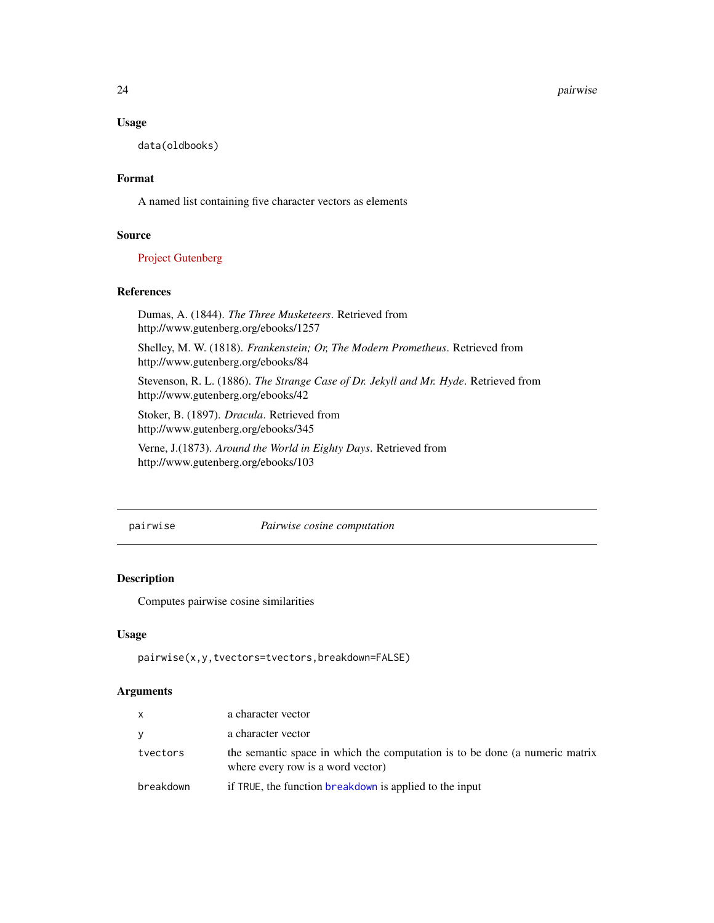24 pairwise

#### Usage

data(oldbooks)

#### Format

A named list containing five character vectors as elements

#### Source

[Project Gutenberg](http://www.gutenberg.org)

#### References

Dumas, A. (1844). *The Three Musketeers*. Retrieved from http://www.gutenberg.org/ebooks/1257

Shelley, M. W. (1818). *Frankenstein; Or, The Modern Prometheus*. Retrieved from http://www.gutenberg.org/ebooks/84

Stevenson, R. L. (1886). *The Strange Case of Dr. Jekyll and Mr. Hyde*. Retrieved from http://www.gutenberg.org/ebooks/42

Stoker, B. (1897). *Dracula*. Retrieved from http://www.gutenberg.org/ebooks/345

Verne, J.(1873). *Around the World in Eighty Days*. Retrieved from http://www.gutenberg.org/ebooks/103

pairwise *Pairwise cosine computation*

#### Description

Computes pairwise cosine similarities

#### Usage

pairwise(x,y,tvectors=tvectors,breakdown=FALSE)

| X         | a character vector                                                                                               |
|-----------|------------------------------------------------------------------------------------------------------------------|
| y         | a character vector                                                                                               |
| tvectors  | the semantic space in which the computation is to be done (a numeric matrix<br>where every row is a word vector) |
| breakdown | if TRUE, the function breakdown is applied to the input                                                          |

<span id="page-23-0"></span>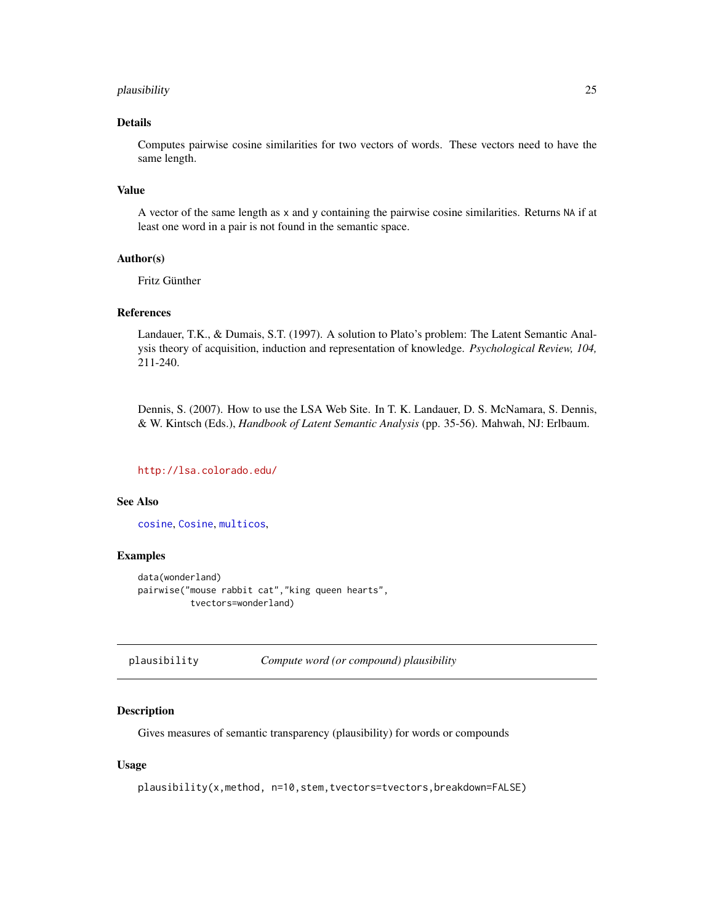#### <span id="page-24-0"></span>plausibility 25

#### Details

Computes pairwise cosine similarities for two vectors of words. These vectors need to have the same length.

#### Value

A vector of the same length as x and y containing the pairwise cosine similarities. Returns NA if at least one word in a pair is not found in the semantic space.

#### Author(s)

Fritz Günther

#### References

Landauer, T.K., & Dumais, S.T. (1997). A solution to Plato's problem: The Latent Semantic Analysis theory of acquisition, induction and representation of knowledge. *Psychological Review, 104,* 211-240.

Dennis, S. (2007). How to use the LSA Web Site. In T. K. Landauer, D. S. McNamara, S. Dennis, & W. Kintsch (Eds.), *Handbook of Latent Semantic Analysis* (pp. 35-56). Mahwah, NJ: Erlbaum.

#### <http://lsa.colorado.edu/>

#### See Also

[cosine](#page-0-0), [Cosine](#page-11-1), [multicos](#page-16-1),

#### Examples

```
data(wonderland)
pairwise("mouse rabbit cat","king queen hearts",
          tvectors=wonderland)
```
plausibility *Compute word (or compound) plausibility*

#### Description

Gives measures of semantic transparency (plausibility) for words or compounds

#### Usage

plausibility(x,method, n=10,stem,tvectors=tvectors,breakdown=FALSE)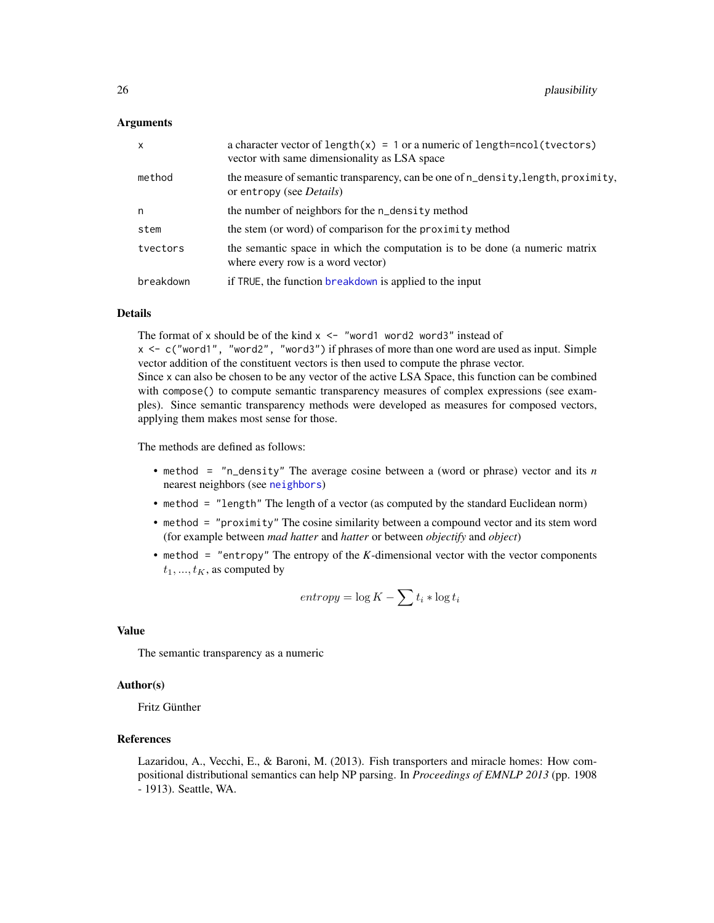#### <span id="page-25-0"></span>Arguments

| $\mathsf{x}$ | a character vector of length $(x) = 1$ or a numeric of length=ncol(tvectors)<br>vector with same dimensionality as LSA space |
|--------------|------------------------------------------------------------------------------------------------------------------------------|
| method       | the measure of semantic transparency, can be one of n_density, length, proximity,<br>or entropy (see <i>Details</i> )        |
| n            | the number of neighbors for the n_density method                                                                             |
| stem         | the stem (or word) of comparison for the proximity method                                                                    |
| tvectors     | the semantic space in which the computation is to be done (a numeric matrix<br>where every row is a word vector)             |
| breakdown    | if TRUE, the function breakdown is applied to the input                                                                      |

#### Details

The format of x should be of the kind  $x \le -1$  "word1 word2 word3" instead of  $x \leq -c$  ("word1", "word2", "word3") if phrases of more than one word are used as input. Simple vector addition of the constituent vectors is then used to compute the phrase vector. Since x can also be chosen to be any vector of the active LSA Space, this function can be combined with compose() to compute semantic transparency measures of complex expressions (see examples). Since semantic transparency methods were developed as measures for composed vectors, applying them makes most sense for those.

The methods are defined as follows:

- method = "n\_density" The average cosine between a (word or phrase) vector and its *n* nearest neighbors (see [neighbors](#page-20-1))
- method = "length" The length of a vector (as computed by the standard Euclidean norm)
- method = "proximity" The cosine similarity between a compound vector and its stem word (for example between *mad hatter* and *hatter* or between *objectify* and *object*)
- method = "entropy" The entropy of the *K*-dimensional vector with the vector components  $t_1, ..., t_K$ , as computed by

$$
entropy = \log K - \sum t_i * \log t_i
$$

#### Value

The semantic transparency as a numeric

#### Author(s)

Fritz Günther

#### References

Lazaridou, A., Vecchi, E., & Baroni, M. (2013). Fish transporters and miracle homes: How compositional distributional semantics can help NP parsing. In *Proceedings of EMNLP 2013* (pp. 1908 - 1913). Seattle, WA.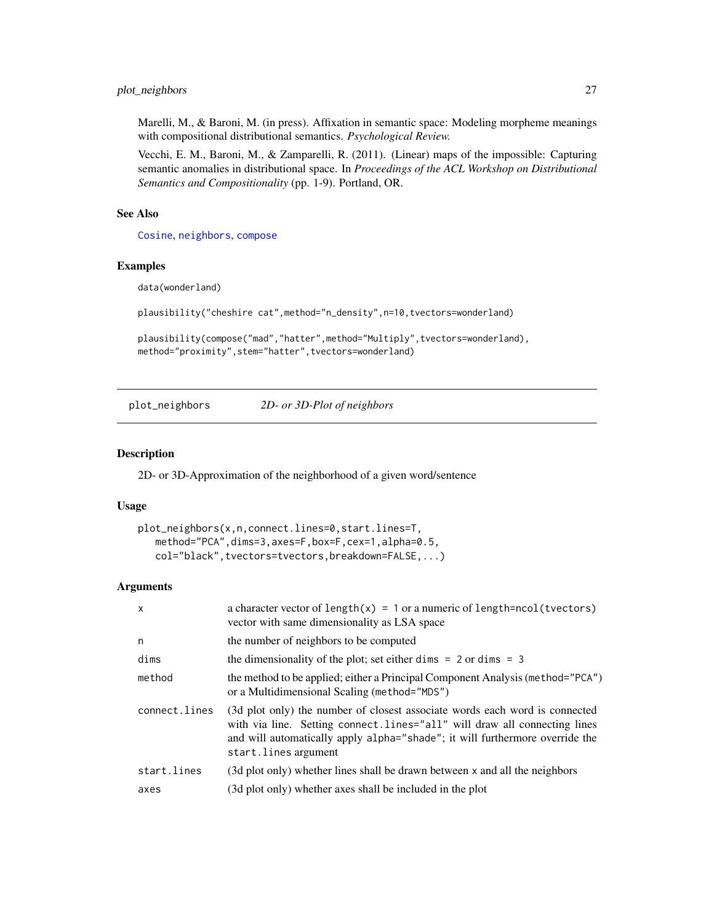#### <span id="page-26-0"></span>plot\_neighbors 27

Marelli, M., & Baroni, M. (in press). Affixation in semantic space: Modeling morpheme meanings with compositional distributional semantics. *Psychological Review.*

Vecchi, E. M., Baroni, M., & Zamparelli, R. (2011). (Linear) maps of the impossible: Capturing semantic anomalies in distributional space. In *Proceedings of the ACL Workshop on Distributional Semantics and Compositionality* (pp. 1-9). Portland, OR.

#### See Also

[Cosine](#page-11-1), [neighbors](#page-20-1), [compose](#page-8-1)

#### Examples

data(wonderland)

```
plausibility("cheshire cat",method="n_density",n=10,tvectors=wonderland)
```

```
plausibility(compose("mad","hatter",method="Multiply",tvectors=wonderland),
method="proximity",stem="hatter",tvectors=wonderland)
```
<span id="page-26-1"></span>plot\_neighbors *2D- or 3D-Plot of neighbors*

#### Description

2D- or 3D-Approximation of the neighborhood of a given word/sentence

#### Usage

```
plot_neighbors(x,n,connect.lines=0,start.lines=T,
   method="PCA",dims=3,axes=F,box=F,cex=1,alpha=0.5,
   col="black",tvectors=tvectors,breakdown=FALSE,...)
```

| $\mathsf{x}$  | a character vector of length $(x) = 1$ or a numeric of length=ncol(tvectors)<br>vector with same dimensionality as LSA space                                                                                                                                       |
|---------------|--------------------------------------------------------------------------------------------------------------------------------------------------------------------------------------------------------------------------------------------------------------------|
| n             | the number of neighbors to be computed                                                                                                                                                                                                                             |
| dims          | the dimensionality of the plot; set either dimes $= 2$ or dimes $= 3$                                                                                                                                                                                              |
| method        | the method to be applied; either a Principal Component Analysis (method="PCA")<br>or a Multidimensional Scaling (method="MDS")                                                                                                                                     |
| connect.lines | (3d plot only) the number of closest associate words each word is connected<br>with via line. Setting connect. lines="all" will draw all connecting lines<br>and will automatically apply alpha="shade"; it will furthermore override the<br>start. lines argument |
| start.lines   | (3d plot only) whether lines shall be drawn between x and all the neighbors                                                                                                                                                                                        |
| axes          | (3d plot only) whether axes shall be included in the plot                                                                                                                                                                                                          |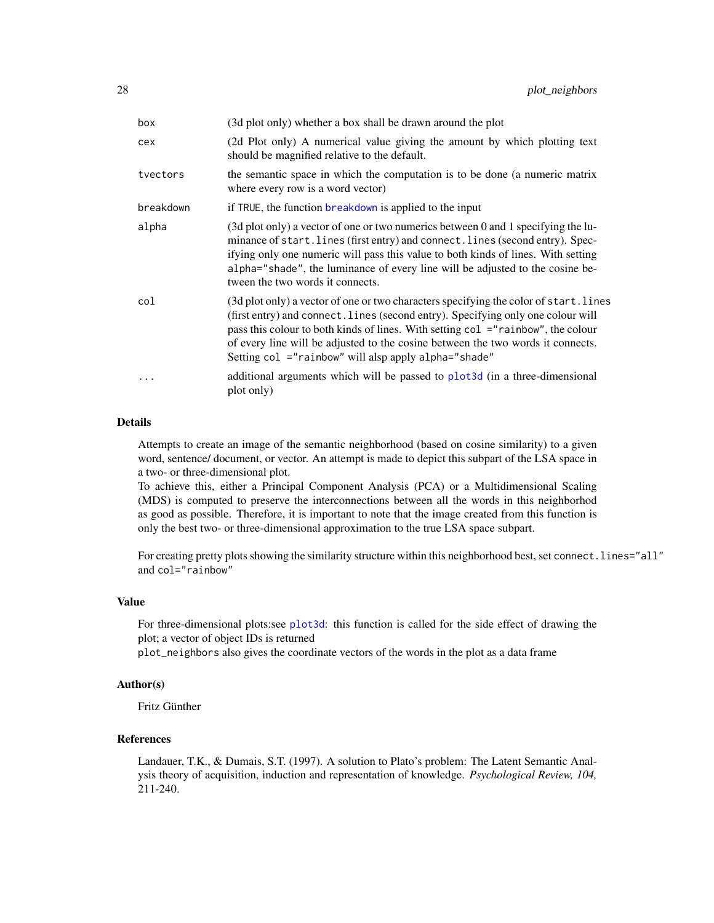<span id="page-27-0"></span>

| box       | (3d plot only) whether a box shall be drawn around the plot                                                                                                                                                                                                                                                                                                                                              |
|-----------|----------------------------------------------------------------------------------------------------------------------------------------------------------------------------------------------------------------------------------------------------------------------------------------------------------------------------------------------------------------------------------------------------------|
| cex       | (2d Plot only) A numerical value giving the amount by which plotting text<br>should be magnified relative to the default.                                                                                                                                                                                                                                                                                |
| tvectors  | the semantic space in which the computation is to be done (a numeric matrix<br>where every row is a word vector)                                                                                                                                                                                                                                                                                         |
| breakdown | if TRUE, the function breakdown is applied to the input                                                                                                                                                                                                                                                                                                                                                  |
| alpha     | (3d plot only) a vector of one or two numerics between 0 and 1 specifying the lu-<br>minance of start. lines (first entry) and connect. lines (second entry). Spec-<br>if ying only one numeric will pass this value to both kinds of lines. With setting<br>alpha="shade", the luminance of every line will be adjusted to the cosine be-<br>tween the two words it connects.                           |
| col       | (3d plot only) a vector of one or two characters specifying the color of start. lines<br>(first entry) and connect. lines (second entry). Specifying only one colour will<br>pass this colour to both kinds of lines. With setting col ="rainbow", the colour<br>of every line will be adjusted to the cosine between the two words it connects.<br>Setting col ="rainbow" will alsp apply alpha="shade" |
| .         | additional arguments which will be passed to plot3d (in a three-dimensional<br>plot only)                                                                                                                                                                                                                                                                                                                |

#### Details

Attempts to create an image of the semantic neighborhood (based on cosine similarity) to a given word, sentence/ document, or vector. An attempt is made to depict this subpart of the LSA space in a two- or three-dimensional plot.

To achieve this, either a Principal Component Analysis (PCA) or a Multidimensional Scaling (MDS) is computed to preserve the interconnections between all the words in this neighborhod as good as possible. Therefore, it is important to note that the image created from this function is only the best two- or three-dimensional approximation to the true LSA space subpart.

For creating pretty plots showing the similarity structure within this neighborhood best, set connect. lines="all" and col="rainbow"

#### Value

For three-dimensional plots:see [plot3d](#page-0-0): this function is called for the side effect of drawing the plot; a vector of object IDs is returned

plot\_neighbors also gives the coordinate vectors of the words in the plot as a data frame

#### Author(s)

Fritz Günther

#### References

Landauer, T.K., & Dumais, S.T. (1997). A solution to Plato's problem: The Latent Semantic Analysis theory of acquisition, induction and representation of knowledge. *Psychological Review, 104,* 211-240.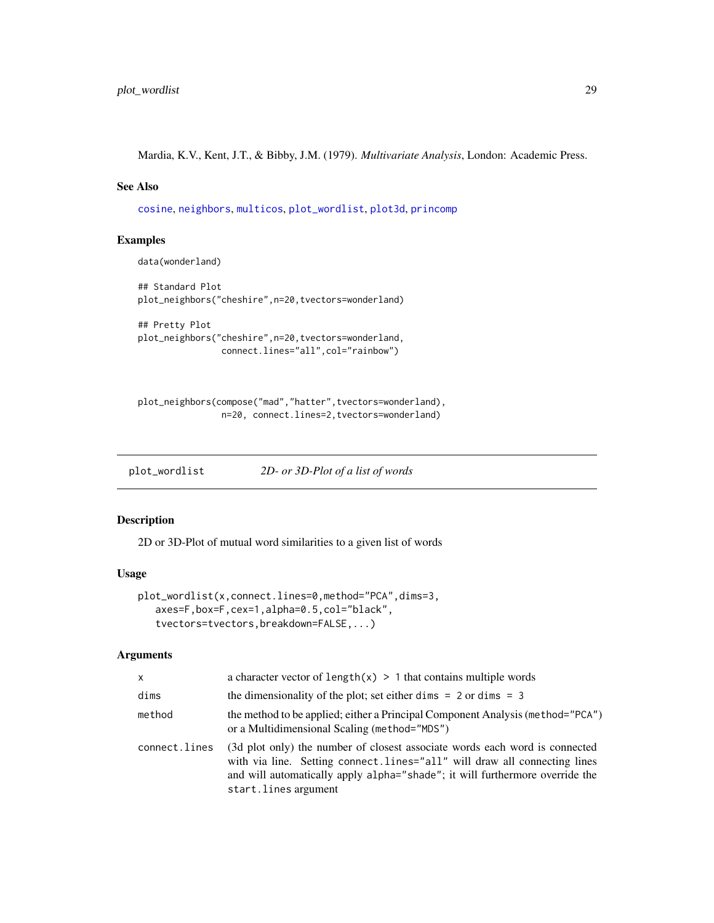<span id="page-28-0"></span>Mardia, K.V., Kent, J.T., & Bibby, J.M. (1979). *Multivariate Analysis*, London: Academic Press.

#### See Also

[cosine](#page-0-0), [neighbors](#page-20-1), [multicos](#page-16-1), [plot\\_wordlist](#page-28-1), [plot3d](#page-0-0), [princomp](#page-0-0)

#### Examples

data(wonderland)

```
## Standard Plot
plot_neighbors("cheshire",n=20,tvectors=wonderland)
```

```
## Pretty Plot
plot_neighbors("cheshire",n=20,tvectors=wonderland,
                connect.lines="all",col="rainbow")
```

```
plot_neighbors(compose("mad","hatter",tvectors=wonderland),
                n=20, connect.lines=2,tvectors=wonderland)
```
<span id="page-28-1"></span>plot\_wordlist *2D- or 3D-Plot of a list of words*

#### Description

2D or 3D-Plot of mutual word similarities to a given list of words

#### Usage

```
plot_wordlist(x,connect.lines=0,method="PCA",dims=3,
   axes=F,box=F,cex=1,alpha=0.5,col="black",
   tvectors=tvectors,breakdown=FALSE,...)
```

| $\mathsf{x}$  | a character vector of $length(x) > 1$ that contains multiple words                                                                                                                                                                                               |
|---------------|------------------------------------------------------------------------------------------------------------------------------------------------------------------------------------------------------------------------------------------------------------------|
| dims          | the dimensionality of the plot; set either dimens $= 2$ or dimens $= 3$                                                                                                                                                                                          |
| method        | the method to be applied; either a Principal Component Analysis (method="PCA")<br>or a Multidimensional Scaling (method="MDS")                                                                                                                                   |
| connect.lines | (3d plot only) the number of closest associate words each word is connected<br>with via line. Setting connect.lines="all" will draw all connecting lines<br>and will automatically apply alpha="shade"; it will furthermore override the<br>start.lines argument |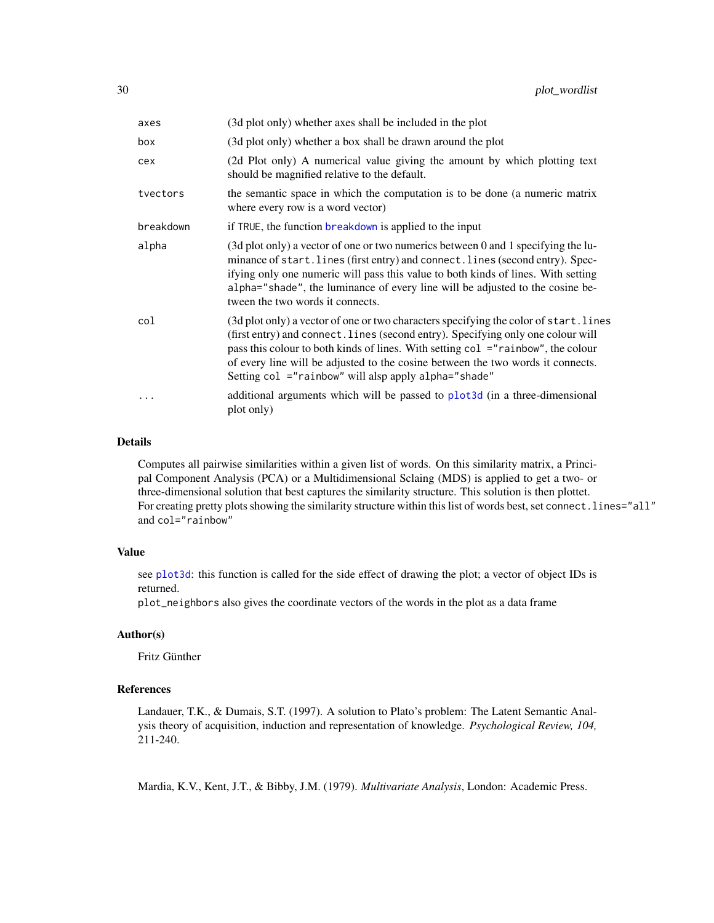<span id="page-29-0"></span>

| axes      | (3d plot only) whether axes shall be included in the plot                                                                                                                                                                                                                                                                                                                                                |
|-----------|----------------------------------------------------------------------------------------------------------------------------------------------------------------------------------------------------------------------------------------------------------------------------------------------------------------------------------------------------------------------------------------------------------|
| box       | (3d plot only) whether a box shall be drawn around the plot                                                                                                                                                                                                                                                                                                                                              |
| cex       | (2d Plot only) A numerical value giving the amount by which plotting text<br>should be magnified relative to the default.                                                                                                                                                                                                                                                                                |
| tvectors  | the semantic space in which the computation is to be done (a numeric matrix<br>where every row is a word vector)                                                                                                                                                                                                                                                                                         |
| breakdown | if TRUE, the function breakdown is applied to the input                                                                                                                                                                                                                                                                                                                                                  |
| alpha     | (3d plot only) a vector of one or two numerics between 0 and 1 specifying the lu-<br>minance of start. lines (first entry) and connect. lines (second entry). Spec-<br>if ying only one numeric will pass this value to both kinds of lines. With setting<br>alpha="shade", the luminance of every line will be adjusted to the cosine be-<br>tween the two words it connects.                           |
| col       | (3d plot only) a vector of one or two characters specifying the color of start. lines<br>(first entry) and connect. lines (second entry). Specifying only one colour will<br>pass this colour to both kinds of lines. With setting col ="rainbow", the colour<br>of every line will be adjusted to the cosine between the two words it connects.<br>Setting col ="rainbow" will alsp apply alpha="shade" |
| $\ddotsc$ | additional arguments which will be passed to plot3d (in a three-dimensional<br>plot only)                                                                                                                                                                                                                                                                                                                |

#### Details

Computes all pairwise similarities within a given list of words. On this similarity matrix, a Principal Component Analysis (PCA) or a Multidimensional Sclaing (MDS) is applied to get a two- or three-dimensional solution that best captures the similarity structure. This solution is then plottet. For creating pretty plots showing the similarity structure within this list of words best, set connect.lines="all" and col="rainbow"

#### Value

see [plot3d](#page-0-0): this function is called for the side effect of drawing the plot; a vector of object IDs is returned.

plot\_neighbors also gives the coordinate vectors of the words in the plot as a data frame

#### Author(s)

Fritz Günther

#### References

Landauer, T.K., & Dumais, S.T. (1997). A solution to Plato's problem: The Latent Semantic Analysis theory of acquisition, induction and representation of knowledge. *Psychological Review, 104,* 211-240.

Mardia, K.V., Kent, J.T., & Bibby, J.M. (1979). *Multivariate Analysis*, London: Academic Press.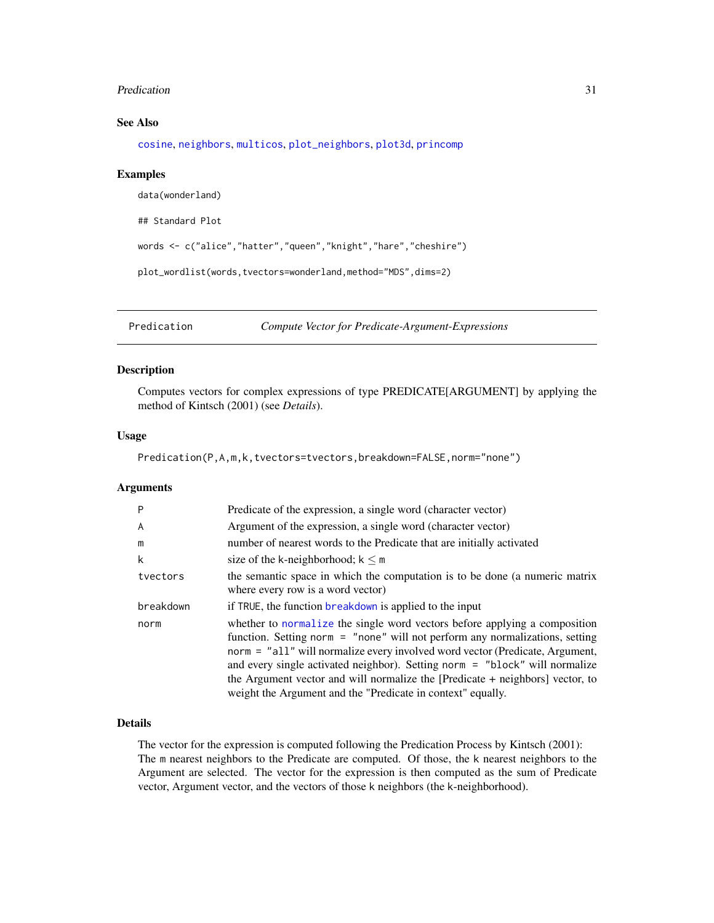#### <span id="page-30-0"></span>Predication 31

#### See Also

[cosine](#page-0-0), [neighbors](#page-20-1), [multicos](#page-16-1), [plot\\_neighbors](#page-26-1), [plot3d](#page-0-0), [princomp](#page-0-0)

#### Examples

```
data(wonderland)
## Standard Plot
words <- c("alice","hatter","queen","knight","hare","cheshire")
plot_wordlist(words,tvectors=wonderland,method="MDS",dims=2)
```
<span id="page-30-1"></span>Predication *Compute Vector for Predicate-Argument-Expressions*

#### Description

Computes vectors for complex expressions of type PREDICATE[ARGUMENT] by applying the method of Kintsch (2001) (see *Details*).

#### Usage

Predication(P,A,m,k,tvectors=tvectors,breakdown=FALSE,norm="none")

#### Arguments

| P         | Predicate of the expression, a single word (character vector)                                                                                                                                                                                                                                                                                                                                                                                                             |
|-----------|---------------------------------------------------------------------------------------------------------------------------------------------------------------------------------------------------------------------------------------------------------------------------------------------------------------------------------------------------------------------------------------------------------------------------------------------------------------------------|
| A         | Argument of the expression, a single word (character vector)                                                                                                                                                                                                                                                                                                                                                                                                              |
| m         | number of nearest words to the Predicate that are initially activated                                                                                                                                                                                                                                                                                                                                                                                                     |
| k         | size of the k-neighborhood; $k \le m$                                                                                                                                                                                                                                                                                                                                                                                                                                     |
| tvectors  | the semantic space in which the computation is to be done (a numeric matrix<br>where every row is a word vector)                                                                                                                                                                                                                                                                                                                                                          |
| breakdown | if TRUE, the function breakdown is applied to the input                                                                                                                                                                                                                                                                                                                                                                                                                   |
| norm      | whether to normalize the single word vectors before applying a composition<br>function. Setting norm = "none" will not perform any normalizations, setting<br>norm = "all" will normalize every involved word vector (Predicate, Argument,<br>and every single activated neighbor). Setting norm = "block" will normalize<br>the Argument vector and will normalize the [Predicate + neighbors] vector, to<br>weight the Argument and the "Predicate in context" equally. |

#### Details

The vector for the expression is computed following the Predication Process by Kintsch (2001): The m nearest neighbors to the Predicate are computed. Of those, the k nearest neighbors to the Argument are selected. The vector for the expression is then computed as the sum of Predicate vector, Argument vector, and the vectors of those k neighbors (the k-neighborhood).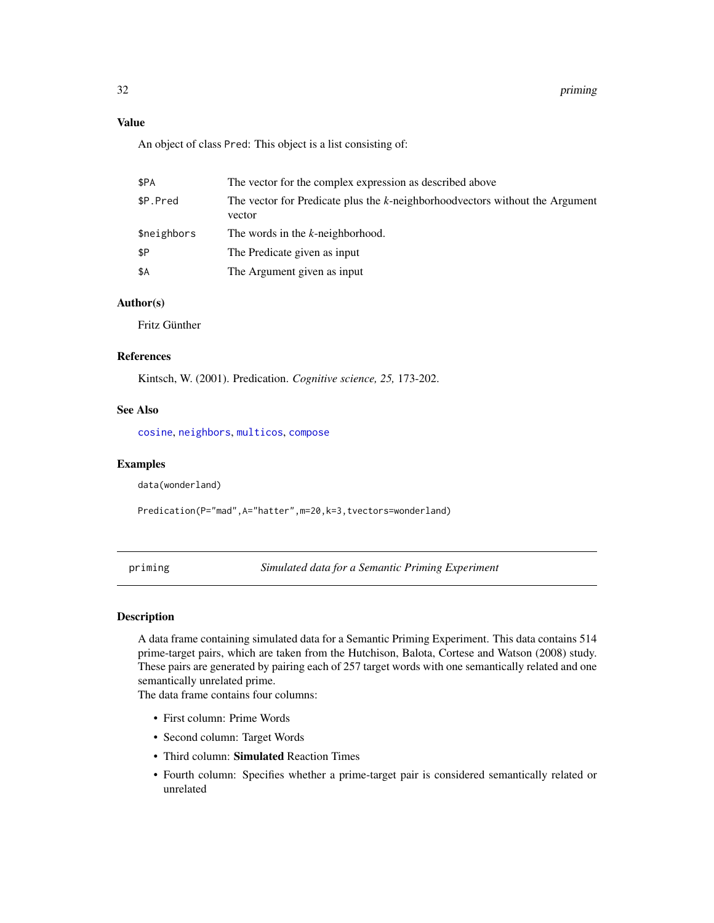#### <span id="page-31-0"></span>Value

An object of class Pred: This object is a list consisting of:

| \$PA        | The vector for the complex expression as described above                                |
|-------------|-----------------------------------------------------------------------------------------|
| \$P.Pred    | The vector for Predicate plus the k-neighborhood vectors without the Argument<br>vector |
| \$neighbors | The words in the k-neighborhood.                                                        |
| \$P         | The Predicate given as input                                                            |
| \$Α         | The Argument given as input                                                             |

#### Author(s)

Fritz Günther

#### References

Kintsch, W. (2001). Predication. *Cognitive science, 25,* 173-202.

#### See Also

[cosine](#page-0-0), [neighbors](#page-20-1), [multicos](#page-16-1), [compose](#page-8-1)

#### Examples

data(wonderland)

Predication(P="mad",A="hatter",m=20,k=3,tvectors=wonderland)

priming *Simulated data for a Semantic Priming Experiment*

#### Description

A data frame containing simulated data for a Semantic Priming Experiment. This data contains 514 prime-target pairs, which are taken from the Hutchison, Balota, Cortese and Watson (2008) study. These pairs are generated by pairing each of 257 target words with one semantically related and one semantically unrelated prime.

The data frame contains four columns:

- First column: Prime Words
- Second column: Target Words
- Third column: Simulated Reaction Times
- Fourth column: Specifies whether a prime-target pair is considered semantically related or unrelated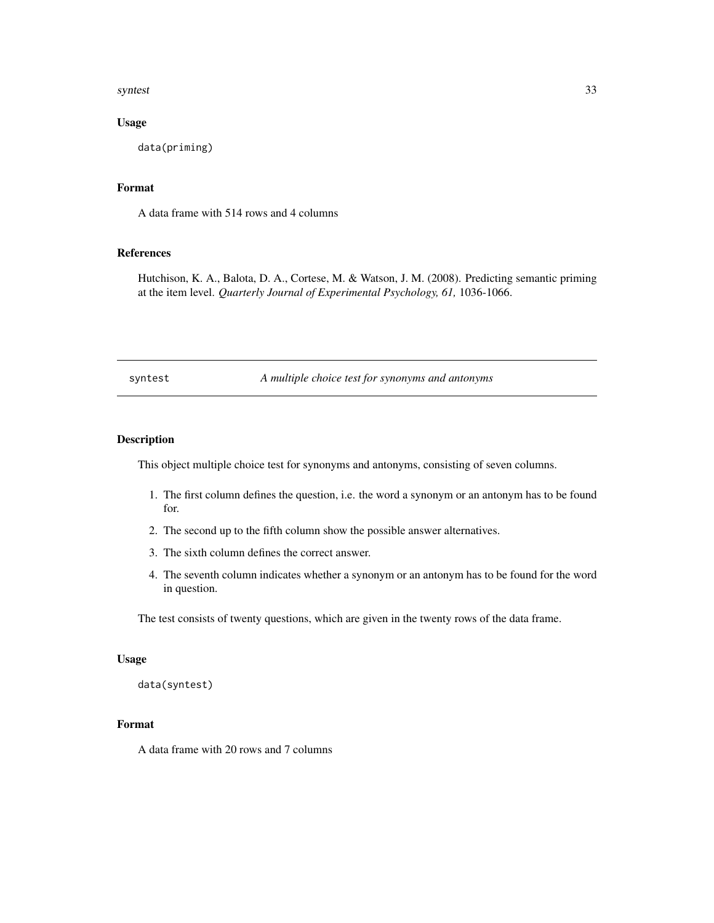#### <span id="page-32-0"></span>syntest 33

#### Usage

data(priming)

#### Format

A data frame with 514 rows and 4 columns

#### References

Hutchison, K. A., Balota, D. A., Cortese, M. & Watson, J. M. (2008). Predicting semantic priming at the item level. *Quarterly Journal of Experimental Psychology, 61,* 1036-1066.

syntest *A multiple choice test for synonyms and antonyms*

#### Description

This object multiple choice test for synonyms and antonyms, consisting of seven columns.

- 1. The first column defines the question, i.e. the word a synonym or an antonym has to be found for.
- 2. The second up to the fifth column show the possible answer alternatives.
- 3. The sixth column defines the correct answer.
- 4. The seventh column indicates whether a synonym or an antonym has to be found for the word in question.

The test consists of twenty questions, which are given in the twenty rows of the data frame.

#### Usage

data(syntest)

### Format

A data frame with 20 rows and 7 columns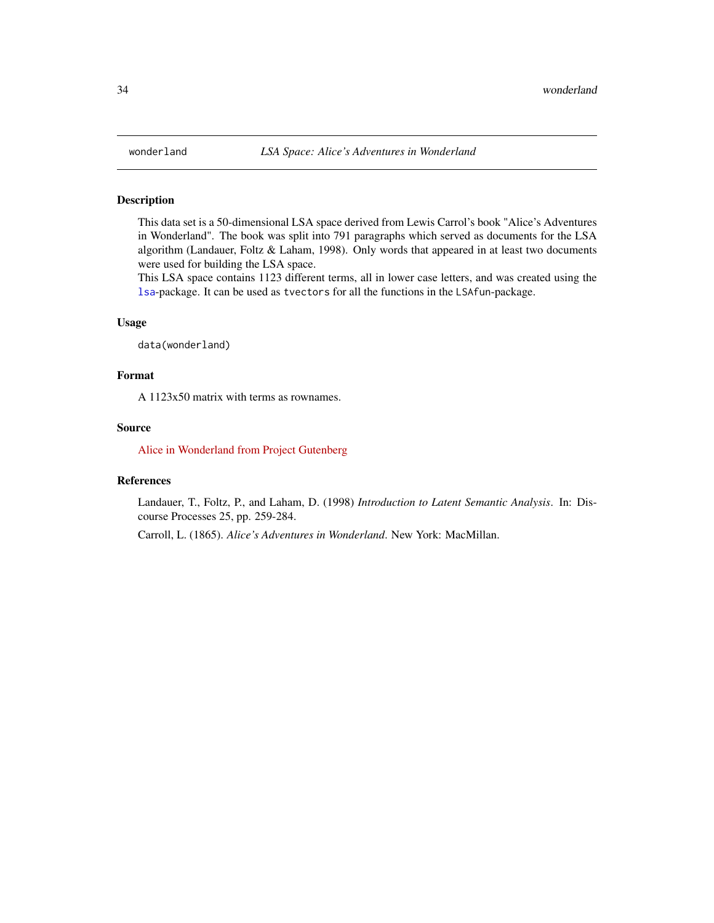<span id="page-33-1"></span><span id="page-33-0"></span>

#### Description

This data set is a 50-dimensional LSA space derived from Lewis Carrol's book "Alice's Adventures in Wonderland". The book was split into 791 paragraphs which served as documents for the LSA algorithm (Landauer, Foltz & Laham, 1998). Only words that appeared in at least two documents were used for building the LSA space.

This LSA space contains 1123 different terms, all in lower case letters, and was created using the [lsa](#page-0-0)-package. It can be used as tvectors for all the functions in the LSAfun-package.

#### Usage

data(wonderland)

#### Format

A 1123x50 matrix with terms as rownames.

#### Source

[Alice in Wonderland from Project Gutenberg](http://www.gutenberg.org/cache/epub/11/pg11.txt)

#### References

Landauer, T., Foltz, P., and Laham, D. (1998) *Introduction to Latent Semantic Analysis*. In: Discourse Processes 25, pp. 259-284.

Carroll, L. (1865). *Alice's Adventures in Wonderland*. New York: MacMillan.